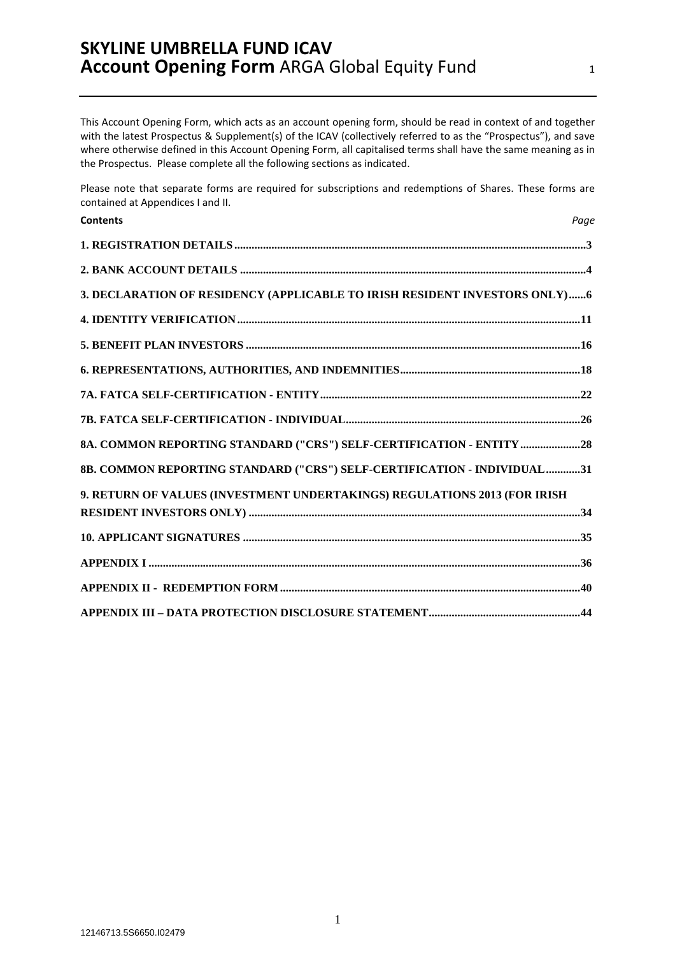This Account Opening Form, which acts as an account opening form, should be read in context of and together with the latest Prospectus & Supplement(s) of the ICAV (collectively referred to as the "Prospectus"), and save where otherwise defined in this Account Opening Form, all capitalised terms shall have the same meaning as in the Prospectus. Please complete all the following sections as indicated.

Please note that separate forms are required for subscriptions and redemptions of Shares. These forms are contained at Appendices I and II.

| <b>Contents</b>                                                            | Page |
|----------------------------------------------------------------------------|------|
|                                                                            |      |
|                                                                            |      |
| 3. DECLARATION OF RESIDENCY (APPLICABLE TO IRISH RESIDENT INVESTORS ONLY)6 |      |
|                                                                            |      |
|                                                                            |      |
|                                                                            |      |
|                                                                            |      |
|                                                                            |      |
| 8A. COMMON REPORTING STANDARD ("CRS") SELF-CERTIFICATION - ENTITY 28       |      |
| 8B. COMMON REPORTING STANDARD ("CRS") SELF-CERTIFICATION - INDIVIDUAL31    |      |
| 9. RETURN OF VALUES (INVESTMENT UNDERTAKINGS) REGULATIONS 2013 (FOR IRISH  |      |
|                                                                            |      |
|                                                                            |      |
|                                                                            |      |
|                                                                            |      |
|                                                                            |      |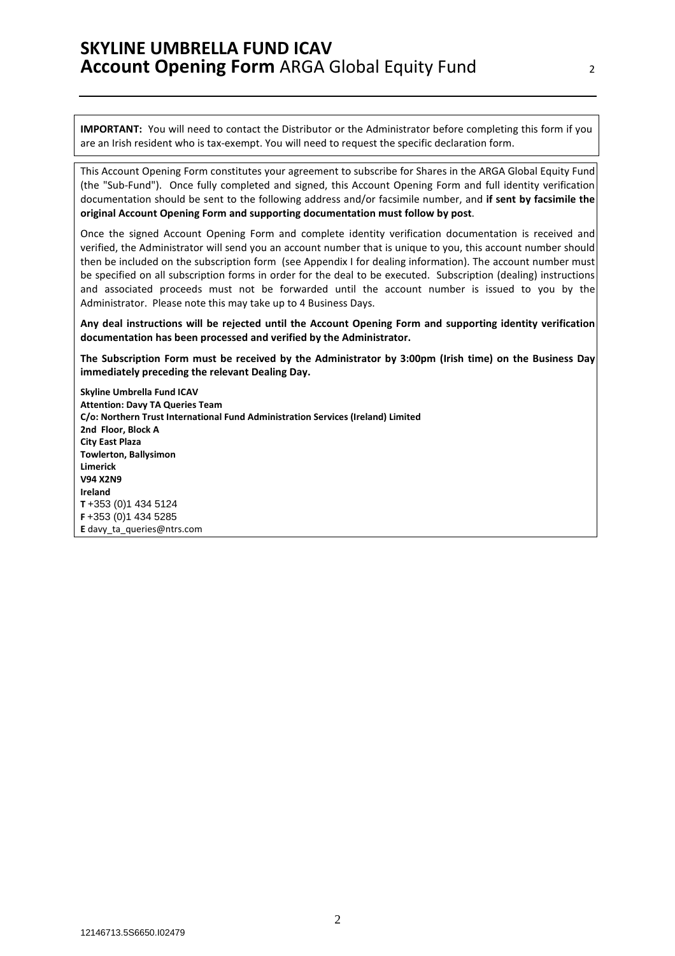**IMPORTANT:** You will need to contact the Distributor or the Administrator before completing this form if you are an Irish resident who is tax-exempt. You will need to request the specific declaration form.

This Account Opening Form constitutes your agreement to subscribe for Shares in the ARGA Global Equity Fund (the "Sub-Fund"). Once fully completed and signed, this Account Opening Form and full identity verification documentation should be sent to the following address and/or facsimile number, and **if sent by facsimile the original Account Opening Form and supporting documentation must follow by post**.

Once the signed Account Opening Form and complete identity verification documentation is received and verified, the Administrator will send you an account number that is unique to you, this account number should then be included on the subscription form (see Appendix I for dealing information). The account number must be specified on all subscription forms in order for the deal to be executed. Subscription (dealing) instructions and associated proceeds must not be forwarded until the account number is issued to you by the Administrator. Please note this may take up to 4 Business Days.

**Any deal instructions will be rejected until the Account Opening Form and supporting identity verification documentation has been processed and verified by the Administrator.** 

**The Subscription Form must be received by the Administrator by 3:00pm (Irish time) on the Business Day immediately preceding the relevant Dealing Day.** 

**Skyline Umbrella Fund ICAV Attention: Davy TA Queries Team C/o: Northern Trust International Fund Administration Services (Ireland) Limited 2nd Floor, Block A City East Plaza Towlerton, Ballysimon Limerick V94 X2N9 Ireland T** +353 (0)1 434 5124 **F** +353 (0)1 434 5285 **E** davy\_ta\_queries@ntrs.com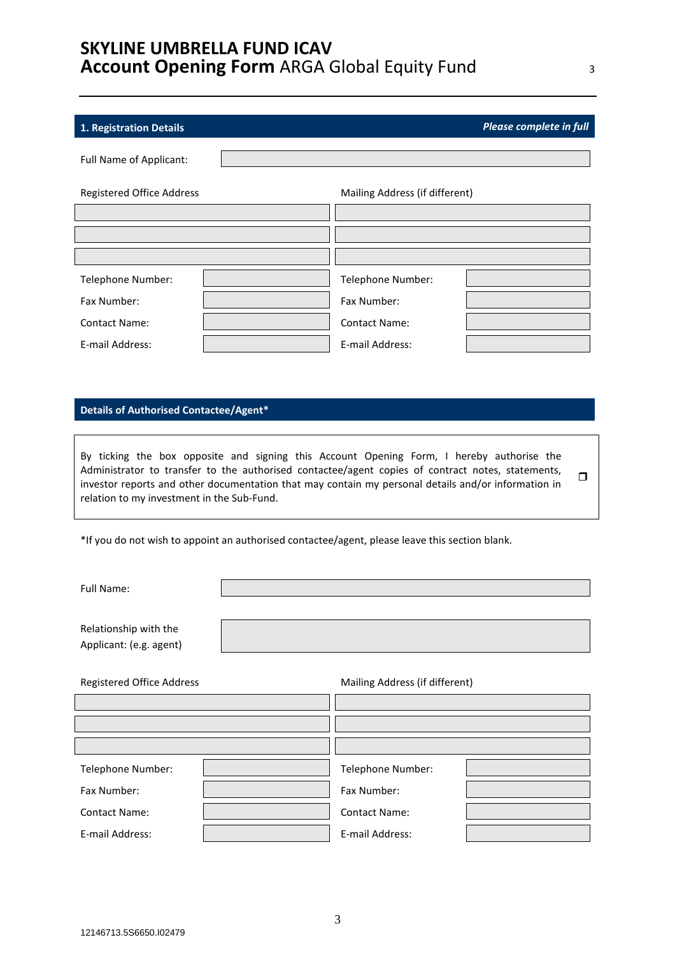# **1. Registration Details** *Please complete in full*

| Full Name of Applicant:          |                                |  |
|----------------------------------|--------------------------------|--|
| <b>Registered Office Address</b> | Mailing Address (if different) |  |
|                                  |                                |  |
|                                  |                                |  |
|                                  |                                |  |
| Telephone Number:                | Telephone Number:              |  |
| Fax Number:                      | Fax Number:                    |  |
| <b>Contact Name:</b>             | <b>Contact Name:</b>           |  |
| E-mail Address:                  | E-mail Address:                |  |

# **Details of Authorised Contactee/Agent\***

By ticking the box opposite and signing this Account Opening Form, I hereby authorise the Administrator to transfer to the authorised contactee/agent copies of contract notes, statements, investor reports and other documentation that may contain my personal details and/or information in relation to my investment in the Sub-Fund.  $\Box$ 

\*If you do not wish to appoint an authorised contactee/agent, please leave this section blank.

Full Name:

Relationship with the Applicant: (e.g. agent)

| Registered Office Address | Mailing Address (if different) |
|---------------------------|--------------------------------|
|                           |                                |
|                           |                                |
|                           |                                |
| Telephone Number:         | Telephone Number:              |
| Fax Number:               | Fax Number:                    |
| <b>Contact Name:</b>      | <b>Contact Name:</b>           |
| E-mail Address:           | E-mail Address:                |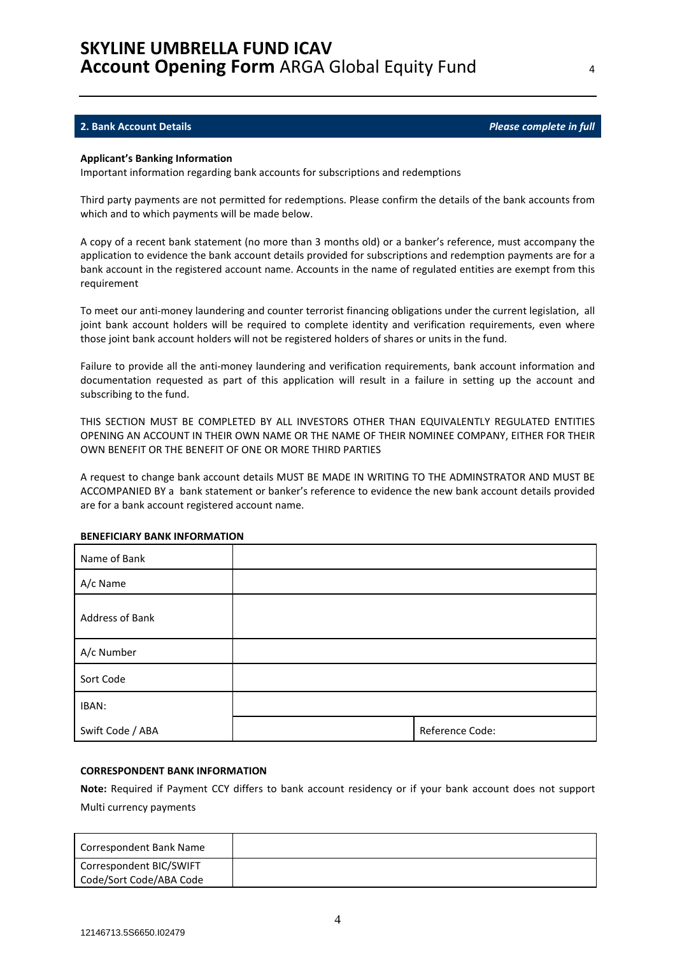#### **2. Bank Account Details** *Please complete in full*

#### **Applicant's Banking Information**

Important information regarding bank accounts for subscriptions and redemptions

Third party payments are not permitted for redemptions. Please confirm the details of the bank accounts from which and to which payments will be made below.

A copy of a recent bank statement (no more than 3 months old) or a banker's reference, must accompany the application to evidence the bank account details provided for subscriptions and redemption payments are for a bank account in the registered account name. Accounts in the name of regulated entities are exempt from this requirement

To meet our anti-money laundering and counter terrorist financing obligations under the current legislation, all joint bank account holders will be required to complete identity and verification requirements, even where those joint bank account holders will not be registered holders of shares or units in the fund.

Failure to provide all the anti-money laundering and verification requirements, bank account information and documentation requested as part of this application will result in a failure in setting up the account and subscribing to the fund.

THIS SECTION MUST BE COMPLETED BY ALL INVESTORS OTHER THAN EQUIVALENTLY REGULATED ENTITIES OPENING AN ACCOUNT IN THEIR OWN NAME OR THE NAME OF THEIR NOMINEE COMPANY, EITHER FOR THEIR OWN BENEFIT OR THE BENEFIT OF ONE OR MORE THIRD PARTIES

A request to change bank account details MUST BE MADE IN WRITING TO THE ADMINSTRATOR AND MUST BE ACCOMPANIED BY a bank statement or banker's reference to evidence the new bank account details provided are for a bank account registered account name.

| Name of Bank     |                 |
|------------------|-----------------|
| A/c Name         |                 |
| Address of Bank  |                 |
| A/c Number       |                 |
| Sort Code        |                 |
| IBAN:            |                 |
| Swift Code / ABA | Reference Code: |

#### **BENEFICIARY BANK INFORMATION**

#### **CORRESPONDENT BANK INFORMATION**

**Note:** Required if Payment CCY differs to bank account residency or if your bank account does not support Multi currency payments

| Correspondent Bank Name |  |
|-------------------------|--|
| Correspondent BIC/SWIFT |  |
| Code/Sort Code/ABA Code |  |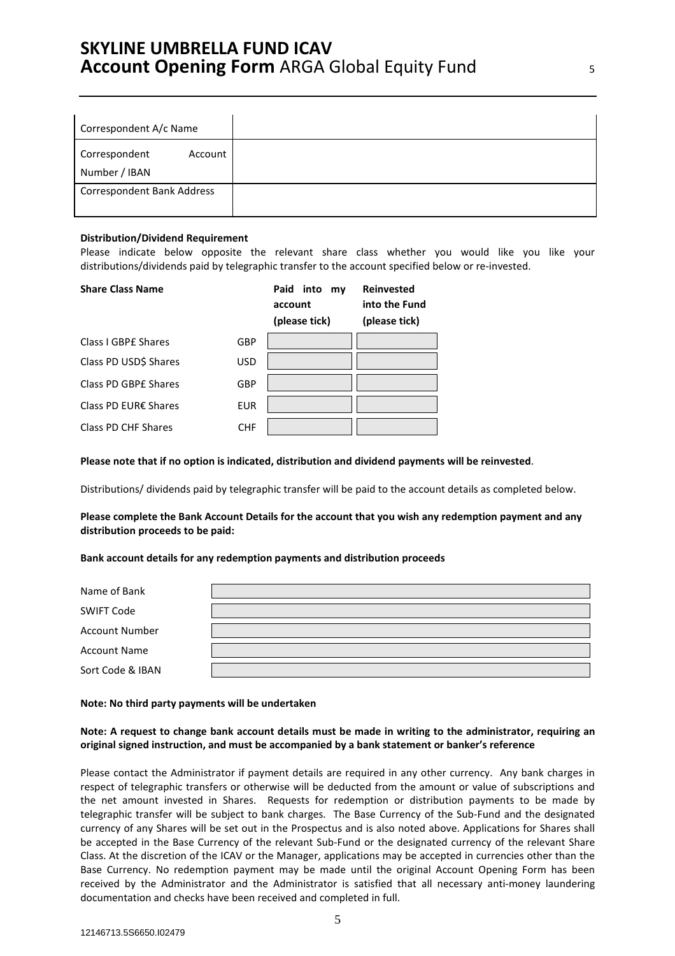| Correspondent A/c Name                    |
|-------------------------------------------|
| Correspondent<br>Account<br>Number / IBAN |
| <b>Correspondent Bank Address</b>         |

#### **Distribution/Dividend Requirement**

Please indicate below opposite the relevant share class whether you would like you like your distributions/dividends paid by telegraphic transfer to the account specified below or re-invested.

| <b>Share Class Name</b> |            | Paid<br>into<br>my<br>account<br>(please tick) | <b>Reinvested</b><br>into the Fund<br>(please tick) |
|-------------------------|------------|------------------------------------------------|-----------------------------------------------------|
| Class I GBPE Shares     | GBP        |                                                |                                                     |
| Class PD USD\$ Shares   | <b>USD</b> |                                                |                                                     |
| Class PD GBPE Shares    | GBP        |                                                |                                                     |
| Class PD EUR€ Shares    | <b>EUR</b> |                                                |                                                     |
| Class PD CHF Shares     | CHF        |                                                |                                                     |

**Please note that if no option is indicated, distribution and dividend payments will be reinvested**.

Distributions/ dividends paid by telegraphic transfer will be paid to the account details as completed below.

**Please complete the Bank Account Details for the account that you wish any redemption payment and any distribution proceeds to be paid:** 

#### **Bank account details for any redemption payments and distribution proceeds**

| Name of Bank          |  |
|-----------------------|--|
| SWIFT Code            |  |
| <b>Account Number</b> |  |
| <b>Account Name</b>   |  |
| Sort Code & IBAN      |  |

#### **Note: No third party payments will be undertaken**

### **Note: A request to change bank account details must be made in writing to the administrator, requiring an original signed instruction, and must be accompanied by a bank statement or banker's reference**

Please contact the Administrator if payment details are required in any other currency. Any bank charges in respect of telegraphic transfers or otherwise will be deducted from the amount or value of subscriptions and the net amount invested in Shares. Requests for redemption or distribution payments to be made by telegraphic transfer will be subject to bank charges. The Base Currency of the Sub-Fund and the designated currency of any Shares will be set out in the Prospectus and is also noted above. Applications for Shares shall be accepted in the Base Currency of the relevant Sub-Fund or the designated currency of the relevant Share Class. At the discretion of the ICAV or the Manager, applications may be accepted in currencies other than the Base Currency. No redemption payment may be made until the original Account Opening Form has been received by the Administrator and the Administrator is satisfied that all necessary anti-money laundering documentation and checks have been received and completed in full.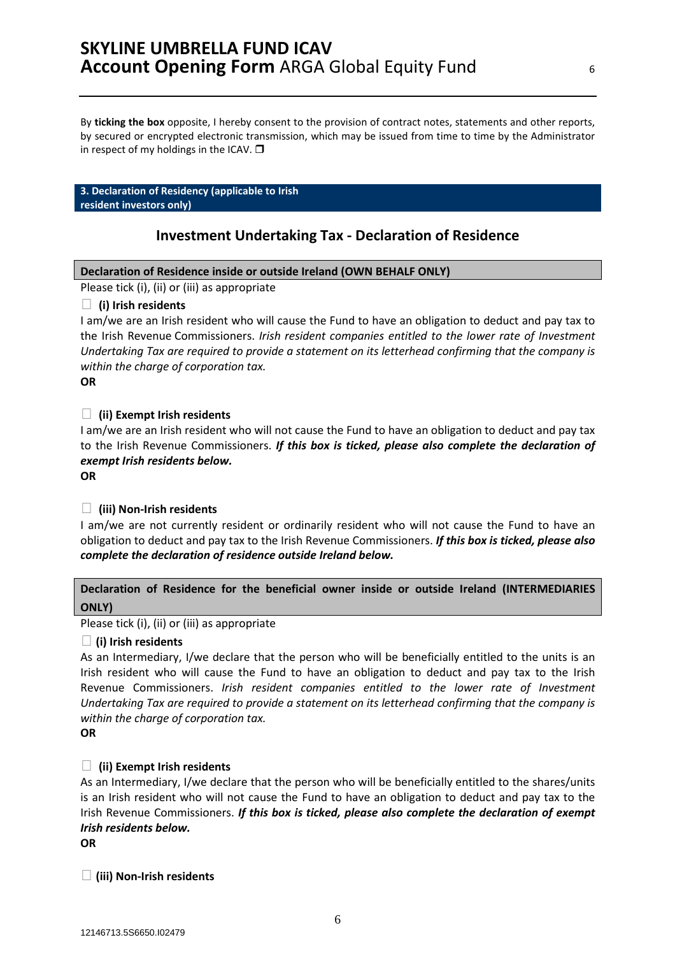By **ticking the box** opposite, I hereby consent to the provision of contract notes, statements and other reports, by secured or encrypted electronic transmission, which may be issued from time to time by the Administrator in respect of my holdings in the ICAV.  $\square$ 

#### **3. Declaration of Residency (applicable to Irish resident investors only)**

# **Investment Undertaking Tax - Declaration of Residence**

# **Declaration of Residence inside or outside Ireland (OWN BEHALF ONLY)**

Please tick (i), (ii) or (iii) as appropriate

# **(i) Irish residents**

I am/we are an Irish resident who will cause the Fund to have an obligation to deduct and pay tax to the Irish Revenue Commissioners. *Irish resident companies entitled to the lower rate of Investment Undertaking Tax are required to provide a statement on its letterhead confirming that the company is within the charge of corporation tax.* 

### **OR**

# **(ii) Exempt Irish residents**

I am/we are an Irish resident who will not cause the Fund to have an obligation to deduct and pay tax to the Irish Revenue Commissioners. *If this box is ticked, please also complete the declaration of exempt Irish residents below.*

#### **OR**

# **(iii) Non-Irish residents**

I am/we are not currently resident or ordinarily resident who will not cause the Fund to have an obligation to deduct and pay tax to the Irish Revenue Commissioners. *If this box is ticked, please also complete the declaration of residence outside Ireland below.*

# **Declaration of Residence for the beneficial owner inside or outside Ireland (INTERMEDIARIES ONLY)**

Please tick (i), (ii) or (iii) as appropriate

# **(i) Irish residents**

As an Intermediary, I/we declare that the person who will be beneficially entitled to the units is an Irish resident who will cause the Fund to have an obligation to deduct and pay tax to the Irish Revenue Commissioners. *Irish resident companies entitled to the lower rate of Investment Undertaking Tax are required to provide a statement on its letterhead confirming that the company is within the charge of corporation tax.* 

### **OR**

# **(ii) Exempt Irish residents**

As an Intermediary, I/we declare that the person who will be beneficially entitled to the shares/units is an Irish resident who will not cause the Fund to have an obligation to deduct and pay tax to the Irish Revenue Commissioners. *If this box is ticked, please also complete the declaration of exempt Irish residents below.*

**OR** 

# **(iii) Non-Irish residents**

6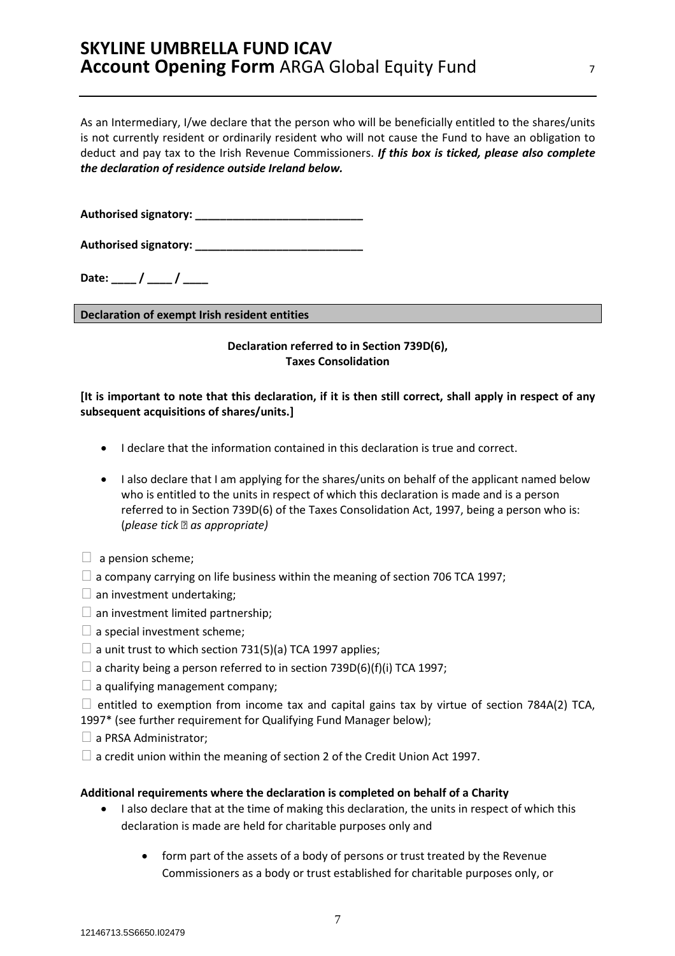As an Intermediary, I/we declare that the person who will be beneficially entitled to the shares/units is not currently resident or ordinarily resident who will not cause the Fund to have an obligation to deduct and pay tax to the Irish Revenue Commissioners. *If this box is ticked, please also complete the declaration of residence outside Ireland below.* 

**Authorised signatory: \_\_\_\_\_\_\_\_\_\_\_\_\_\_\_\_\_\_\_\_\_\_\_\_\_\_\_** 

Authorised signatory:

Date: / /

**Declaration of exempt Irish resident entities**

# **Declaration referred to in Section 739D(6), Taxes Consolidation**

# **[It is important to note that this declaration, if it is then still correct, shall apply in respect of any subsequent acquisitions of shares/units.]**

- I declare that the information contained in this declaration is true and correct.
- I also declare that I am applying for the shares/units on behalf of the applicant named below who is entitled to the units in respect of which this declaration is made and is a person referred to in Section 739D(6) of the Taxes Consolidation Act, 1997, being a person who is: (*please tick as appropriate)*
- $\Box$  a pension scheme;
- $\Box$  a company carrying on life business within the meaning of section 706 TCA 1997;
- $\Box$  an investment undertaking;
- $\Box$  an investment limited partnership;
- $\Box$  a special investment scheme;
- $\Box$  a unit trust to which section 731(5)(a) TCA 1997 applies;
- $\Box$  a charity being a person referred to in section 739D(6)(f)(i) TCA 1997;
- $\Box$  a qualifying management company;

 $\Box$  entitled to exemption from income tax and capital gains tax by virtue of section 784A(2) TCA, 1997\* (see further requirement for Qualifying Fund Manager below);

- $\Box$  a PRSA Administrator;
- $\Box$  a credit union within the meaning of section 2 of the Credit Union Act 1997.

# **Additional requirements where the declaration is completed on behalf of a Charity**

- I also declare that at the time of making this declaration, the units in respect of which this declaration is made are held for charitable purposes only and
	- form part of the assets of a body of persons or trust treated by the Revenue Commissioners as a body or trust established for charitable purposes only, or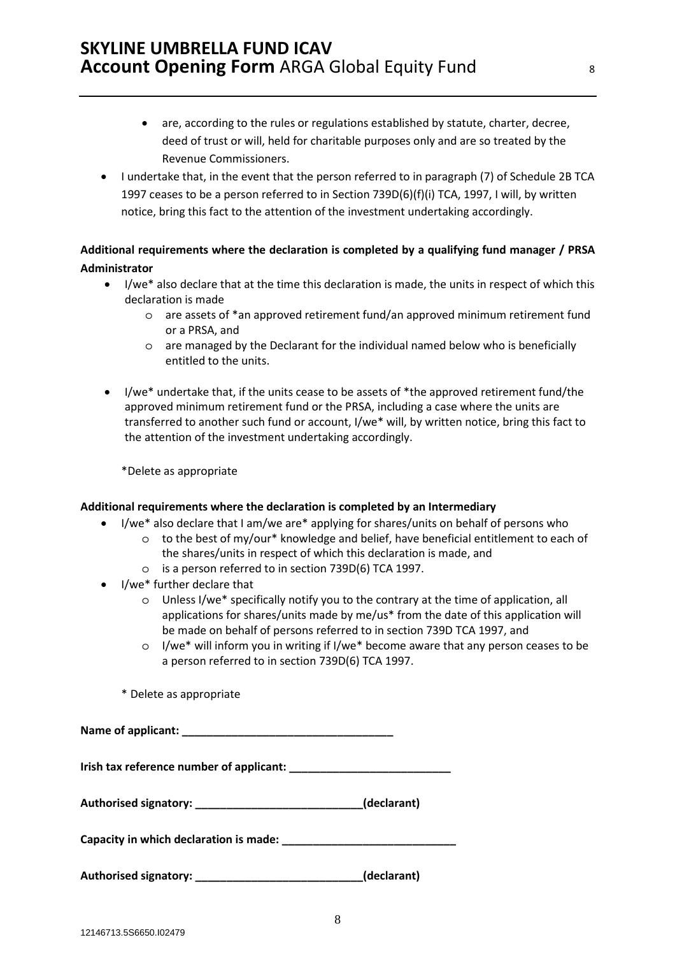- are, according to the rules or regulations established by statute, charter, decree, deed of trust or will, held for charitable purposes only and are so treated by the Revenue Commissioners.
- I undertake that, in the event that the person referred to in paragraph (7) of Schedule 2B TCA 1997 ceases to be a person referred to in Section 739D(6)(f)(i) TCA, 1997, I will, by written notice, bring this fact to the attention of the investment undertaking accordingly.

# **Additional requirements where the declaration is completed by a qualifying fund manager / PRSA Administrator**

- I/we\* also declare that at the time this declaration is made, the units in respect of which this declaration is made
	- o are assets of \*an approved retirement fund/an approved minimum retirement fund or a PRSA, and
	- o are managed by the Declarant for the individual named below who is beneficially entitled to the units.
- I/we<sup>\*</sup> undertake that, if the units cease to be assets of \*the approved retirement fund/the approved minimum retirement fund or the PRSA, including a case where the units are transferred to another such fund or account, I/we\* will, by written notice, bring this fact to the attention of the investment undertaking accordingly.

\*Delete as appropriate

# **Additional requirements where the declaration is completed by an Intermediary**

- I/we\* also declare that I am/we are\* applying for shares/units on behalf of persons who
	- $\circ$  to the best of my/our\* knowledge and belief, have beneficial entitlement to each of the shares/units in respect of which this declaration is made, and
		- o is a person referred to in section 739D(6) TCA 1997.
- I/we\* further declare that
	- o Unless I/we\* specifically notify you to the contrary at the time of application, all applications for shares/units made by me/us\* from the date of this application will be made on behalf of persons referred to in section 739D TCA 1997, and
	- $\circ$  I/we\* will inform you in writing if I/we\* become aware that any person ceases to be a person referred to in section 739D(6) TCA 1997.
	- \* Delete as appropriate

| Authorised signatory: _______________________________(declarant) |             |
|------------------------------------------------------------------|-------------|
|                                                                  |             |
|                                                                  | (declarant) |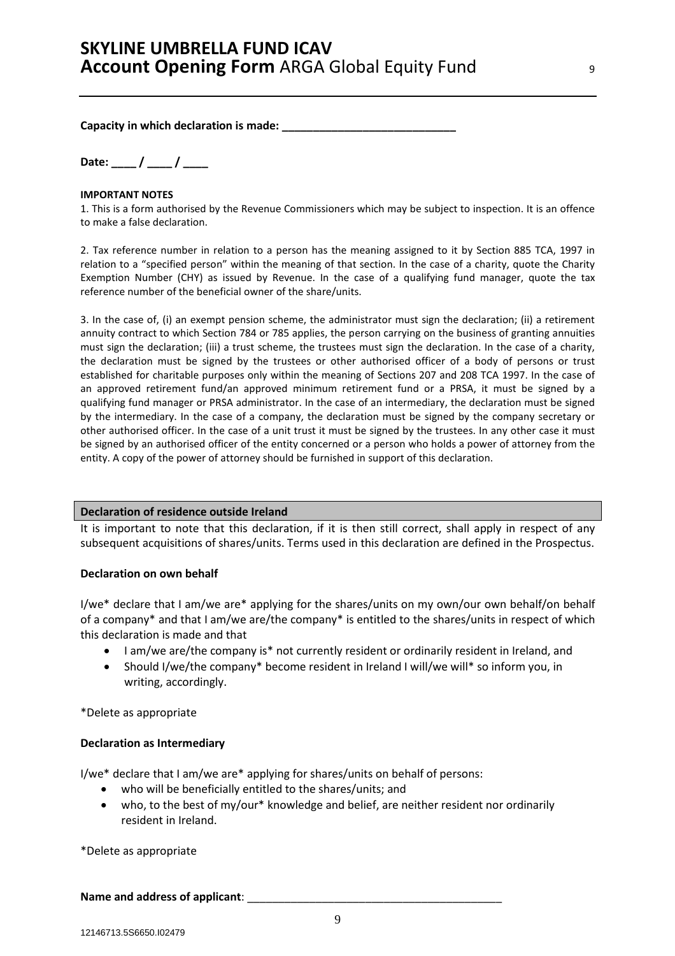Capacity in which declaration is made:

**Date: \_\_\_\_ / \_\_\_\_ / \_\_\_\_** 

### **IMPORTANT NOTES**

1. This is a form authorised by the Revenue Commissioners which may be subject to inspection. It is an offence to make a false declaration.

2. Tax reference number in relation to a person has the meaning assigned to it by Section 885 TCA, 1997 in relation to a "specified person" within the meaning of that section. In the case of a charity, quote the Charity Exemption Number (CHY) as issued by Revenue. In the case of a qualifying fund manager, quote the tax reference number of the beneficial owner of the share/units.

3. In the case of, (i) an exempt pension scheme, the administrator must sign the declaration; (ii) a retirement annuity contract to which Section 784 or 785 applies, the person carrying on the business of granting annuities must sign the declaration; (iii) a trust scheme, the trustees must sign the declaration. In the case of a charity, the declaration must be signed by the trustees or other authorised officer of a body of persons or trust established for charitable purposes only within the meaning of Sections 207 and 208 TCA 1997. In the case of an approved retirement fund/an approved minimum retirement fund or a PRSA, it must be signed by a qualifying fund manager or PRSA administrator. In the case of an intermediary, the declaration must be signed by the intermediary. In the case of a company, the declaration must be signed by the company secretary or other authorised officer. In the case of a unit trust it must be signed by the trustees. In any other case it must be signed by an authorised officer of the entity concerned or a person who holds a power of attorney from the entity. A copy of the power of attorney should be furnished in support of this declaration.

### **Declaration of residence outside Ireland**

It is important to note that this declaration, if it is then still correct, shall apply in respect of any subsequent acquisitions of shares/units. Terms used in this declaration are defined in the Prospectus.

# **Declaration on own behalf**

I/we\* declare that I am/we are\* applying for the shares/units on my own/our own behalf/on behalf of a company\* and that I am/we are/the company\* is entitled to the shares/units in respect of which this declaration is made and that

- I am/we are/the company is\* not currently resident or ordinarily resident in Ireland, and
- Should I/we/the company\* become resident in Ireland I will/we will\* so inform you, in writing, accordingly.

\*Delete as appropriate

# **Declaration as Intermediary**

I/we\* declare that I am/we are\* applying for shares/units on behalf of persons:

- who will be beneficially entitled to the shares/units; and
- who, to the best of my/our\* knowledge and belief, are neither resident nor ordinarily resident in Ireland.

\*Delete as appropriate

Name and address of applicant: **Name and address of applicant**: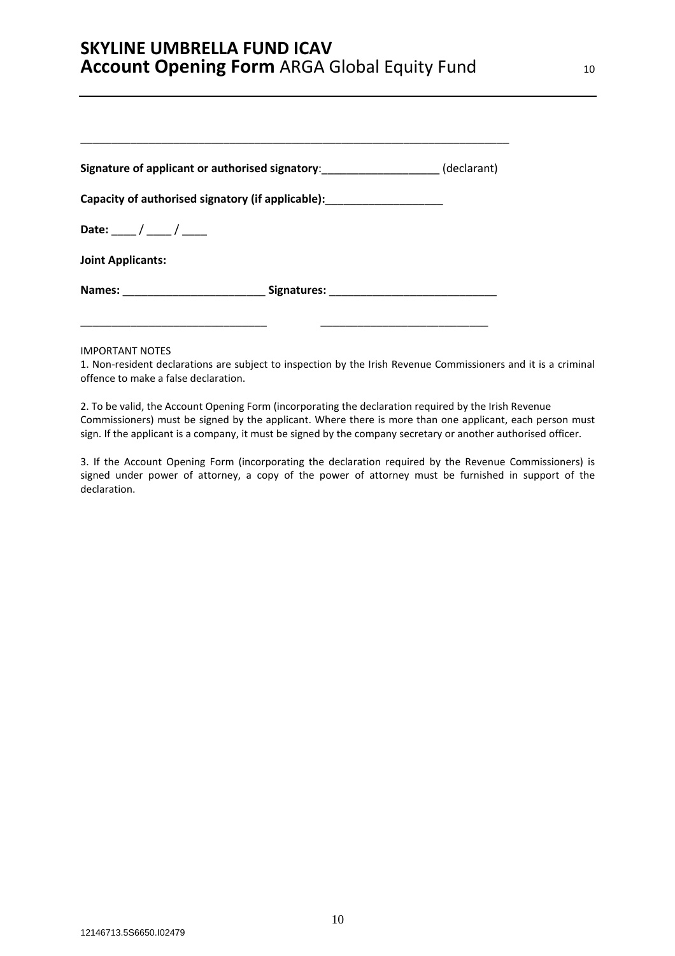| Signature of applicant or authorised signatory:                                  | (declarant) |
|----------------------------------------------------------------------------------|-------------|
| Capacity of authorised signatory (if applicable): ______________________________ |             |
| Date: $\frac{\ }{\ }$ / ____ / _____                                             |             |
| <b>Joint Applicants:</b>                                                         |             |
|                                                                                  |             |

\_\_\_\_\_\_\_\_\_\_\_\_\_\_\_\_\_\_\_\_\_\_\_\_\_\_\_\_\_\_ \_\_\_\_\_\_\_\_\_\_\_\_\_\_\_\_\_\_\_\_\_\_\_\_\_\_\_

#### IMPORTANT NOTES

1. Non-resident declarations are subject to inspection by the Irish Revenue Commissioners and it is a criminal offence to make a false declaration.

2. To be valid, the Account Opening Form (incorporating the declaration required by the Irish Revenue Commissioners) must be signed by the applicant. Where there is more than one applicant, each person must sign. If the applicant is a company, it must be signed by the company secretary or another authorised officer.

3. If the Account Opening Form (incorporating the declaration required by the Revenue Commissioners) is signed under power of attorney, a copy of the power of attorney must be furnished in support of the declaration.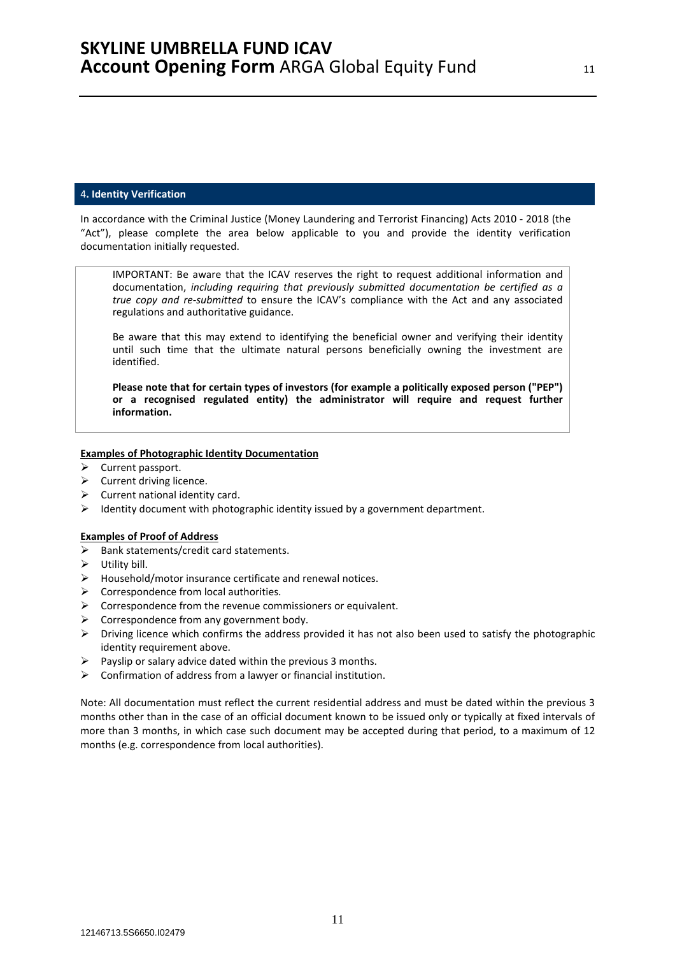#### 4**. Identity Verification**

In accordance with the Criminal Justice (Money Laundering and Terrorist Financing) Acts 2010 - 2018 (the "Act"), please complete the area below applicable to you and provide the identity verification documentation initially requested.

IMPORTANT: Be aware that the ICAV reserves the right to request additional information and documentation, *including requiring that previously submitted documentation be certified as a true copy and re-submitted* to ensure the ICAV's compliance with the Act and any associated regulations and authoritative guidance.

Be aware that this may extend to identifying the beneficial owner and verifying their identity until such time that the ultimate natural persons beneficially owning the investment are identified.

**Please note that for certain types of investors (for example a politically exposed person ("PEP") or a recognised regulated entity) the administrator will require and request further information.** 

#### **Examples of Photographic Identity Documentation**

- $\triangleright$  Current passport.
- $\triangleright$  Current driving licence.
- $\triangleright$  Current national identity card.
- $\triangleright$  Identity document with photographic identity issued by a government department.

### **Examples of Proof of Address**

- $\triangleright$  Bank statements/credit card statements.
- $\triangleright$  Utility bill.
- $\triangleright$  Household/motor insurance certificate and renewal notices.
- $\triangleright$  Correspondence from local authorities.
- $\triangleright$  Correspondence from the revenue commissioners or equivalent.
- $\triangleright$  Correspondence from any government body.
- $\triangleright$  Driving licence which confirms the address provided it has not also been used to satisfy the photographic identity requirement above.
- $\triangleright$  Payslip or salary advice dated within the previous 3 months.
- $\triangleright$  Confirmation of address from a lawyer or financial institution.

Note: All documentation must reflect the current residential address and must be dated within the previous 3 months other than in the case of an official document known to be issued only or typically at fixed intervals of more than 3 months, in which case such document may be accepted during that period, to a maximum of 12 months (e.g. correspondence from local authorities).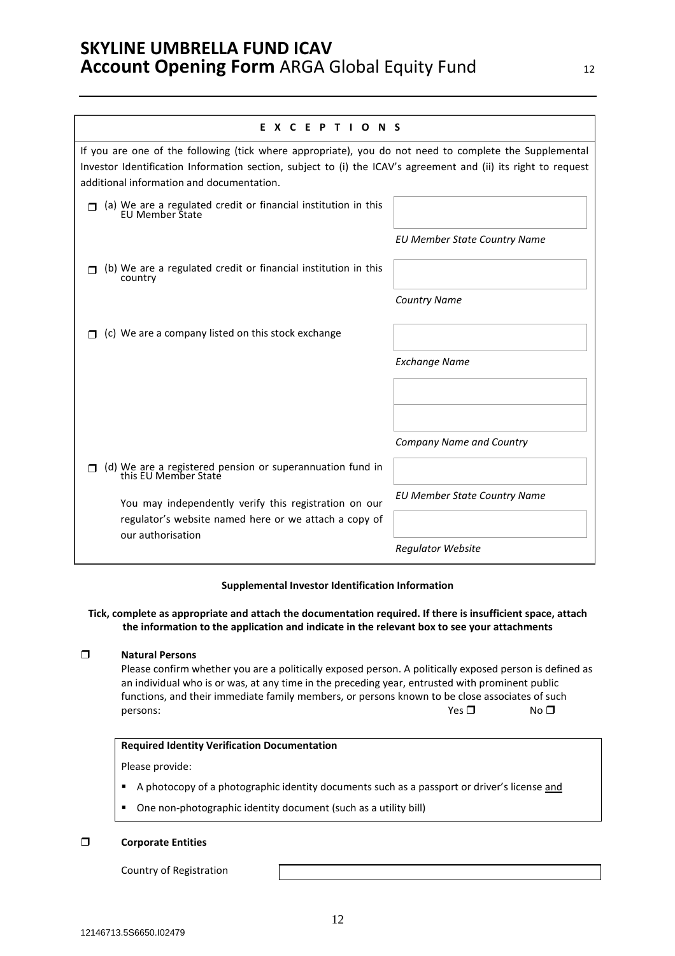| EXCEPTIONS                                                                                                                                                                                                                                                            |                                     |
|-----------------------------------------------------------------------------------------------------------------------------------------------------------------------------------------------------------------------------------------------------------------------|-------------------------------------|
| If you are one of the following (tick where appropriate), you do not need to complete the Supplemental<br>Investor Identification Information section, subject to (i) the ICAV's agreement and (ii) its right to request<br>additional information and documentation. |                                     |
| $\Box$ (a) We are a regulated credit or financial institution in this EU Member State                                                                                                                                                                                 |                                     |
|                                                                                                                                                                                                                                                                       | <b>EU Member State Country Name</b> |
| (b) We are a regulated credit or financial institution in this<br>country                                                                                                                                                                                             |                                     |
|                                                                                                                                                                                                                                                                       | <b>Country Name</b>                 |
| (c) We are a company listed on this stock exchange                                                                                                                                                                                                                    |                                     |
|                                                                                                                                                                                                                                                                       | <b>Exchange Name</b>                |
|                                                                                                                                                                                                                                                                       |                                     |
|                                                                                                                                                                                                                                                                       |                                     |
|                                                                                                                                                                                                                                                                       | <b>Company Name and Country</b>     |
| (d) We are a registered pension or superannuation fund in<br>this EU Member State                                                                                                                                                                                     |                                     |
| You may independently verify this registration on our                                                                                                                                                                                                                 | <b>EU Member State Country Name</b> |
| regulator's website named here or we attach a copy of<br>our authorisation                                                                                                                                                                                            |                                     |
|                                                                                                                                                                                                                                                                       | <b>Regulator Website</b>            |

### **Supplemental Investor Identification Information**

### **Tick, complete as appropriate and attach the documentation required. If there is insufficient space, attach the information to the application and indicate in the relevant box to see your attachments**

### **Natural Persons**

Please confirm whether you are a politically exposed person. A politically exposed person is defined as an individual who is or was, at any time in the preceding year, entrusted with prominent public functions, and their immediate family members, or persons known to be close associates of such persons:  $N\circ\Box$  No  $\Box$ 

### **Required Identity Verification Documentation**

Please provide:

- A photocopy of a photographic identity documents such as a passport or driver's license and
- One non-photographic identity document (such as a utility bill)

### **Corporate Entities**

Country of Registration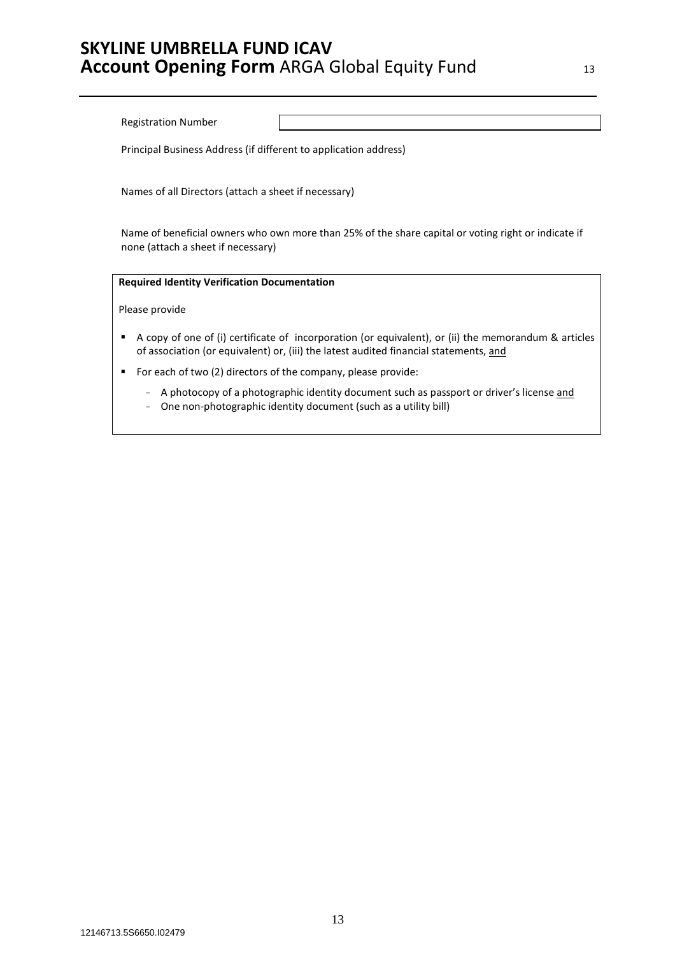Registration Number

Principal Business Address (if different to application address)

Names of all Directors (attach a sheet if necessary)

Name of beneficial owners who own more than 25% of the share capital or voting right or indicate if none (attach a sheet if necessary)

# **Required Identity Verification Documentation**

Please provide

- A copy of one of (i) certificate of incorporation (or equivalent), or (ii) the memorandum & articles of association (or equivalent) or, (iii) the latest audited financial statements, and
- For each of two (2) directors of the company, please provide:
	- A photocopy of a photographic identity document such as passport or driver's license and
	- One non-photographic identity document (such as a utility bill)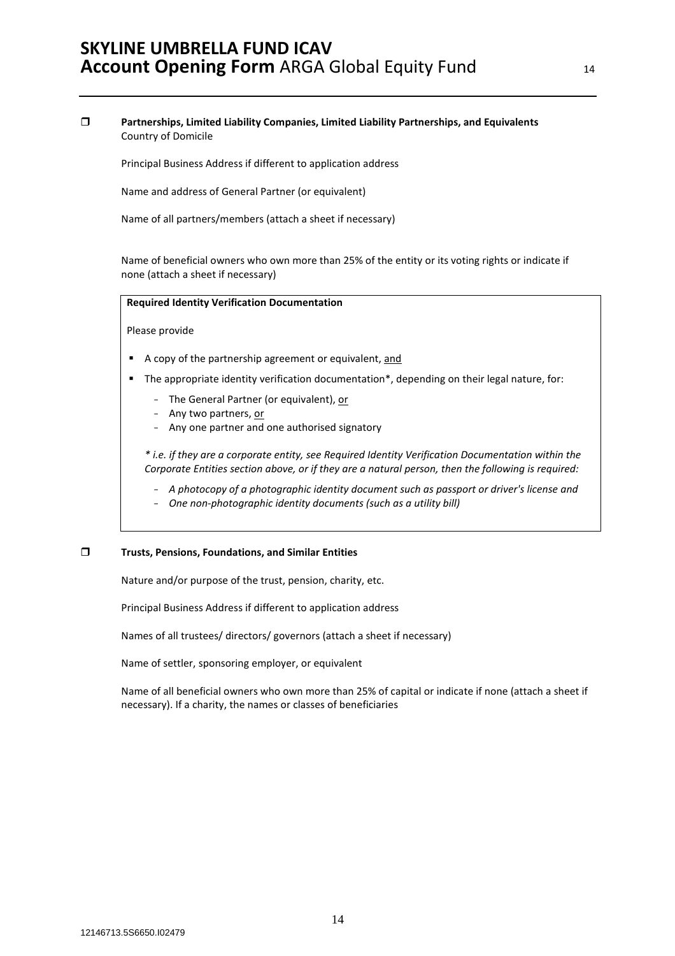### **Partnerships, Limited Liability Companies, Limited Liability Partnerships, and Equivalents**  Country of Domicile

Principal Business Address if different to application address

Name and address of General Partner (or equivalent)

Name of all partners/members (attach a sheet if necessary)

Name of beneficial owners who own more than 25% of the entity or its voting rights or indicate if none (attach a sheet if necessary)

#### **Required Identity Verification Documentation**

Please provide

- A copy of the partnership agreement or equivalent, and
- **The appropriate identity verification documentation\*, depending on their legal nature, for:** 
	- The General Partner (or equivalent), or
	- Any two partners, or
	- Any one partner and one authorised signatory

*\* i.e. if they are a corporate entity, see Required Identity Verification Documentation within the Corporate Entities section above, or if they are a natural person, then the following is required:* 

- *A photocopy of a photographic identity document such as passport or driver's license and*
- *One non-photographic identity documents (such as a utility bill)*

#### **Trusts, Pensions, Foundations, and Similar Entities**

Nature and/or purpose of the trust, pension, charity, etc.

Principal Business Address if different to application address

Names of all trustees/ directors/ governors (attach a sheet if necessary)

Name of settler, sponsoring employer, or equivalent

Name of all beneficial owners who own more than 25% of capital or indicate if none (attach a sheet if necessary). If a charity, the names or classes of beneficiaries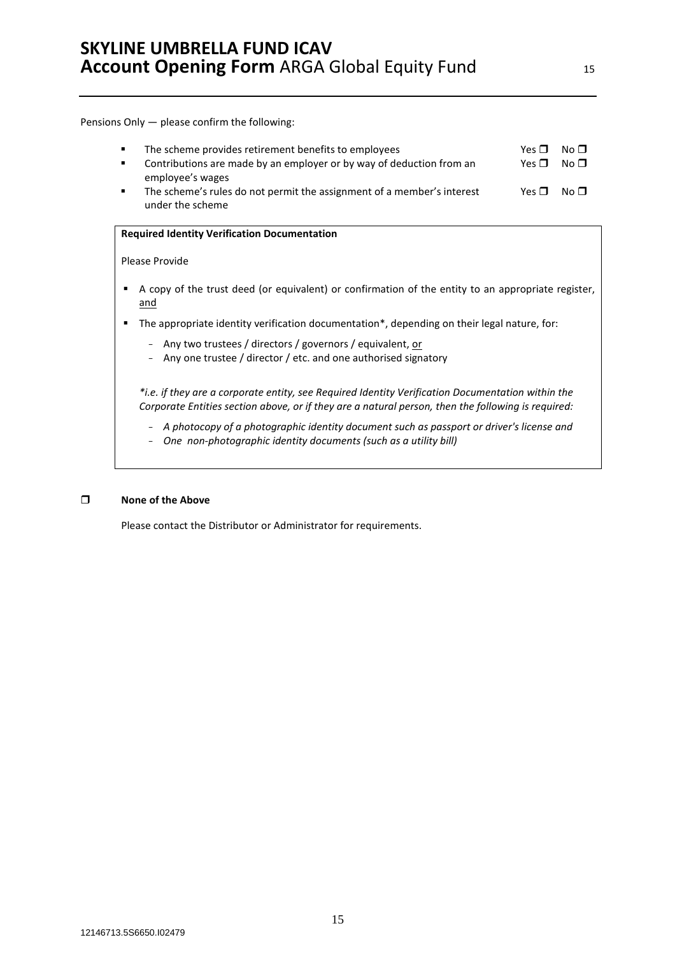Pensions Only — please confirm the following:

| $\blacksquare$<br>$\blacksquare$ | The scheme provides retirement benefits to employees<br>Contributions are made by an employer or by way of deduction from an | Yes $\Pi$<br>Yes $\Pi$ | No $\sqcap$<br>No $\blacksquare$ |
|----------------------------------|------------------------------------------------------------------------------------------------------------------------------|------------------------|----------------------------------|
|                                  | employee's wages                                                                                                             |                        |                                  |
|                                  | The scheme's rules do not permit the assignment of a member's interest                                                       | Yes $\P$ No $\P$       |                                  |
|                                  | under the scheme                                                                                                             |                        |                                  |

#### **Required Identity Verification Documentation**

#### Please Provide

- A copy of the trust deed (or equivalent) or confirmation of the entity to an appropriate register, and
- The appropriate identity verification documentation\*, depending on their legal nature, for:
	- Any two trustees / directors / governors / equivalent, or
	- Any one trustee / director / etc. and one authorised signatory

*\*i.e. if they are a corporate entity, see Required Identity Verification Documentation within the Corporate Entities section above, or if they are a natural person, then the following is required:* 

- *A photocopy of a photographic identity document such as passport or driver's license and*
- *One non-photographic identity documents (such as a utility bill)*

### **None of the Above**

Please contact the Distributor or Administrator for requirements.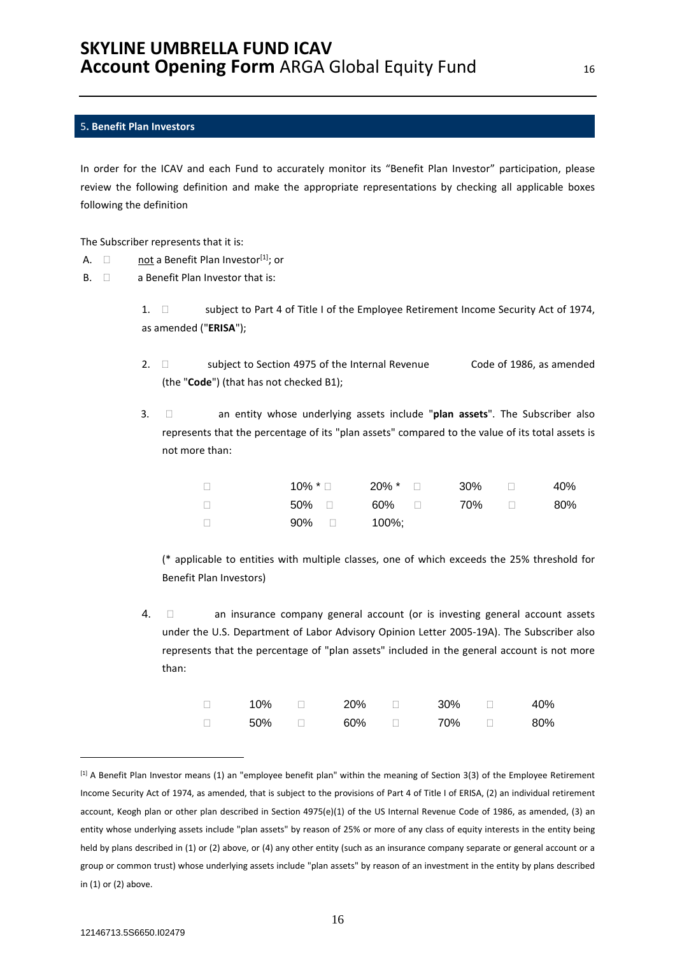### 5**. Benefit Plan Investors**

In order for the ICAV and each Fund to accurately monitor its "Benefit Plan Investor" participation, please review the following definition and make the appropriate representations by checking all applicable boxes following the definition

The Subscriber represents that it is:

- A.  $\Box$  not a Benefit Plan Investor<sup>[1]</sup>; or
- $B. \quad \Box$  a Benefit Plan Investor that is:

1.  $\Box$  subject to Part 4 of Title I of the Employee Retirement Income Security Act of 1974, as amended ("**ERISA**");

- 2.  $\Box$  subject to Section 4975 of the Internal Revenue Code of 1986, as amended (the "**Code**") (that has not checked B1);
- 3.  $\Box$  an entity whose underlying assets include "plan assets". The Subscriber also represents that the percentage of its "plan assets" compared to the value of its total assets is not more than:

|       | $10\%$ * $\Box$ $20\%$ * $\Box$ $30\%$ $\Box$ |  | 40% |
|-------|-----------------------------------------------|--|-----|
|       | 50% □   60% □    70% □                        |  | 80% |
| 90% □ | 100%:                                         |  |     |

(\* applicable to entities with multiple classes, one of which exceeds the 25% threshold for Benefit Plan Investors)

4.  $\Box$  an insurance company general account (or is investing general account assets under the U.S. Department of Labor Advisory Opinion Letter 2005-19A). The Subscriber also represents that the percentage of "plan assets" included in the general account is not more than:

| 10% | 20% | 30% | 40% |
|-----|-----|-----|-----|
| 50% | 60% | 70% | 80% |

<sup>[1]</sup> A Benefit Plan Investor means (1) an "employee benefit plan" within the meaning of Section 3(3) of the Employee Retirement Income Security Act of 1974, as amended, that is subject to the provisions of Part 4 of Title I of ERISA, (2) an individual retirement account, Keogh plan or other plan described in Section 4975(e)(1) of the US Internal Revenue Code of 1986, as amended, (3) an entity whose underlying assets include "plan assets" by reason of 25% or more of any class of equity interests in the entity being held by plans described in (1) or (2) above, or (4) any other entity (such as an insurance company separate or general account or a group or common trust) whose underlying assets include "plan assets" by reason of an investment in the entity by plans described in (1) or (2) above.

 $\overline{a}$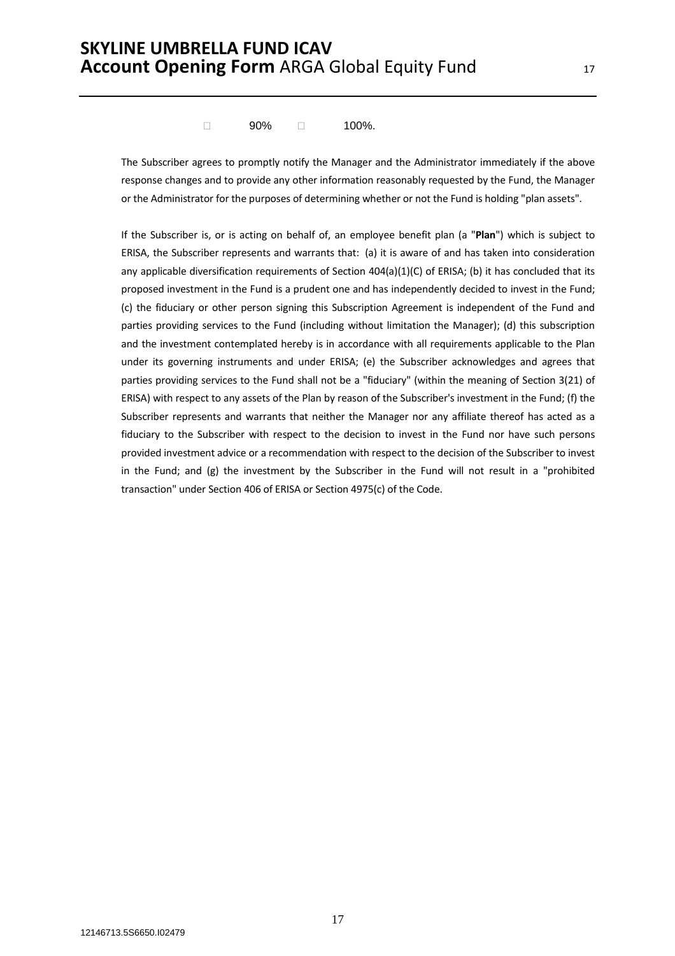$\Box$  90%  $\Box$  100%.

The Subscriber agrees to promptly notify the Manager and the Administrator immediately if the above response changes and to provide any other information reasonably requested by the Fund, the Manager or the Administrator for the purposes of determining whether or not the Fund is holding "plan assets".

If the Subscriber is, or is acting on behalf of, an employee benefit plan (a "**Plan**") which is subject to ERISA, the Subscriber represents and warrants that: (a) it is aware of and has taken into consideration any applicable diversification requirements of Section 404(a)(1)(C) of ERISA; (b) it has concluded that its proposed investment in the Fund is a prudent one and has independently decided to invest in the Fund; (c) the fiduciary or other person signing this Subscription Agreement is independent of the Fund and parties providing services to the Fund (including without limitation the Manager); (d) this subscription and the investment contemplated hereby is in accordance with all requirements applicable to the Plan under its governing instruments and under ERISA; (e) the Subscriber acknowledges and agrees that parties providing services to the Fund shall not be a "fiduciary" (within the meaning of Section 3(21) of ERISA) with respect to any assets of the Plan by reason of the Subscriber's investment in the Fund; (f) the Subscriber represents and warrants that neither the Manager nor any affiliate thereof has acted as a fiduciary to the Subscriber with respect to the decision to invest in the Fund nor have such persons provided investment advice or a recommendation with respect to the decision of the Subscriber to invest in the Fund; and (g) the investment by the Subscriber in the Fund will not result in a "prohibited transaction" under Section 406 of ERISA or Section 4975(c) of the Code.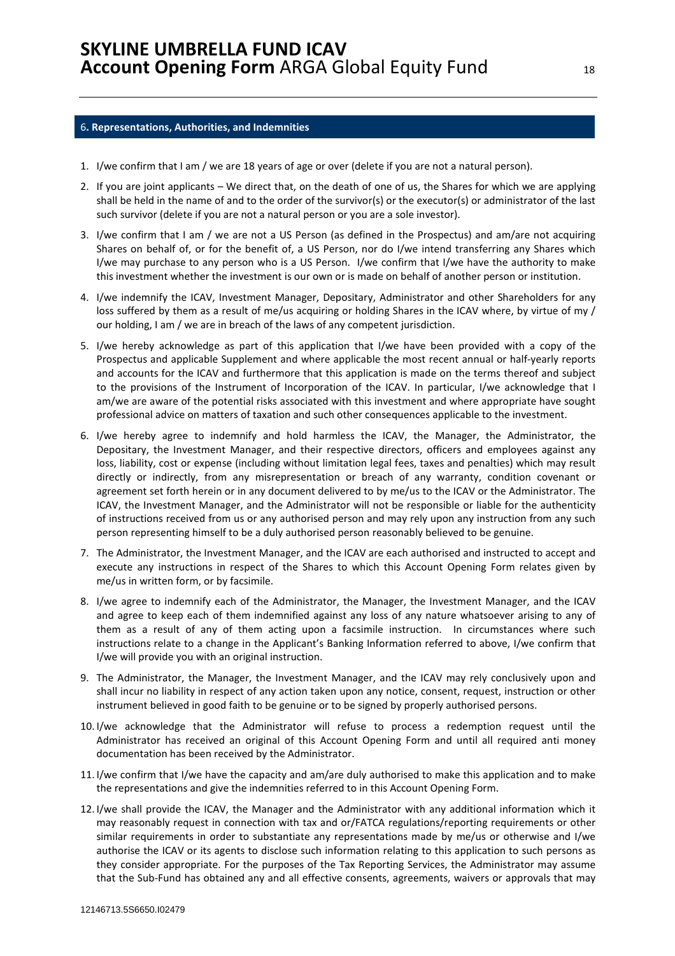#### 6**. Representations, Authorities, and Indemnities**

- 1. I/we confirm that I am / we are 18 years of age or over (delete if you are not a natural person).
- 2. If you are joint applicants We direct that, on the death of one of us, the Shares for which we are applying shall be held in the name of and to the order of the survivor(s) or the executor(s) or administrator of the last such survivor (delete if you are not a natural person or you are a sole investor).
- 3. I/we confirm that I am / we are not a US Person (as defined in the Prospectus) and am/are not acquiring Shares on behalf of, or for the benefit of, a US Person, nor do I/we intend transferring any Shares which I/we may purchase to any person who is a US Person. I/we confirm that I/we have the authority to make this investment whether the investment is our own or is made on behalf of another person or institution.
- 4. I/we indemnify the ICAV, Investment Manager, Depositary, Administrator and other Shareholders for any loss suffered by them as a result of me/us acquiring or holding Shares in the ICAV where, by virtue of my / our holding, I am / we are in breach of the laws of any competent jurisdiction.
- 5. I/we hereby acknowledge as part of this application that I/we have been provided with a copy of the Prospectus and applicable Supplement and where applicable the most recent annual or half-yearly reports and accounts for the ICAV and furthermore that this application is made on the terms thereof and subject to the provisions of the Instrument of Incorporation of the ICAV. In particular, I/we acknowledge that I am/we are aware of the potential risks associated with this investment and where appropriate have sought professional advice on matters of taxation and such other consequences applicable to the investment.
- 6. I/we hereby agree to indemnify and hold harmless the ICAV, the Manager, the Administrator, the Depositary, the Investment Manager, and their respective directors, officers and employees against any loss, liability, cost or expense (including without limitation legal fees, taxes and penalties) which may result directly or indirectly, from any misrepresentation or breach of any warranty, condition covenant or agreement set forth herein or in any document delivered to by me/us to the ICAV or the Administrator. The ICAV, the Investment Manager, and the Administrator will not be responsible or liable for the authenticity of instructions received from us or any authorised person and may rely upon any instruction from any such person representing himself to be a duly authorised person reasonably believed to be genuine.
- 7. The Administrator, the Investment Manager, and the ICAV are each authorised and instructed to accept and execute any instructions in respect of the Shares to which this Account Opening Form relates given by me/us in written form, or by facsimile.
- 8. I/we agree to indemnify each of the Administrator, the Manager, the Investment Manager, and the ICAV and agree to keep each of them indemnified against any loss of any nature whatsoever arising to any of them as a result of any of them acting upon a facsimile instruction. In circumstances where such instructions relate to a change in the Applicant's Banking Information referred to above, I/we confirm that I/we will provide you with an original instruction.
- 9. The Administrator, the Manager, the Investment Manager, and the ICAV may rely conclusively upon and shall incur no liability in respect of any action taken upon any notice, consent, request, instruction or other instrument believed in good faith to be genuine or to be signed by properly authorised persons.
- 10. I/we acknowledge that the Administrator will refuse to process a redemption request until the Administrator has received an original of this Account Opening Form and until all required anti money documentation has been received by the Administrator.
- 11. I/we confirm that I/we have the capacity and am/are duly authorised to make this application and to make the representations and give the indemnities referred to in this Account Opening Form.
- 12. I/we shall provide the ICAV, the Manager and the Administrator with any additional information which it may reasonably request in connection with tax and or/FATCA regulations/reporting requirements or other similar requirements in order to substantiate any representations made by me/us or otherwise and I/we authorise the ICAV or its agents to disclose such information relating to this application to such persons as they consider appropriate. For the purposes of the Tax Reporting Services, the Administrator may assume that the Sub-Fund has obtained any and all effective consents, agreements, waivers or approvals that may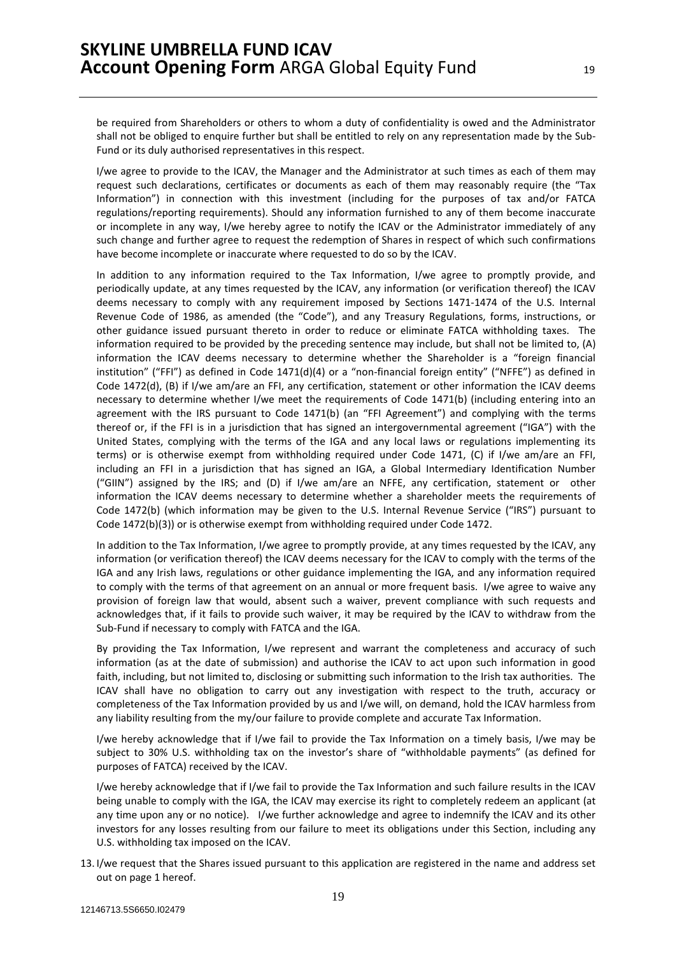be required from Shareholders or others to whom a duty of confidentiality is owed and the Administrator shall not be obliged to enquire further but shall be entitled to rely on any representation made by the Sub-Fund or its duly authorised representatives in this respect.

I/we agree to provide to the ICAV, the Manager and the Administrator at such times as each of them may request such declarations, certificates or documents as each of them may reasonably require (the "Tax Information") in connection with this investment (including for the purposes of tax and/or FATCA regulations/reporting requirements). Should any information furnished to any of them become inaccurate or incomplete in any way, I/we hereby agree to notify the ICAV or the Administrator immediately of any such change and further agree to request the redemption of Shares in respect of which such confirmations have become incomplete or inaccurate where requested to do so by the ICAV.

In addition to any information required to the Tax Information, I/we agree to promptly provide, and periodically update, at any times requested by the ICAV, any information (or verification thereof) the ICAV deems necessary to comply with any requirement imposed by Sections 1471-1474 of the U.S. Internal Revenue Code of 1986, as amended (the "Code"), and any Treasury Regulations, forms, instructions, or other guidance issued pursuant thereto in order to reduce or eliminate FATCA withholding taxes. The information required to be provided by the preceding sentence may include, but shall not be limited to, (A) information the ICAV deems necessary to determine whether the Shareholder is a "foreign financial institution" ("FFI") as defined in Code 1471(d)(4) or a "non-financial foreign entity" ("NFFE") as defined in Code 1472(d), (B) if I/we am/are an FFI, any certification, statement or other information the ICAV deems necessary to determine whether I/we meet the requirements of Code 1471(b) (including entering into an agreement with the IRS pursuant to Code 1471(b) (an "FFI Agreement") and complying with the terms thereof or, if the FFI is in a jurisdiction that has signed an intergovernmental agreement ("IGA") with the United States, complying with the terms of the IGA and any local laws or regulations implementing its terms) or is otherwise exempt from withholding required under Code 1471, (C) if I/we am/are an FFI, including an FFI in a jurisdiction that has signed an IGA, a Global Intermediary Identification Number ("GIIN") assigned by the IRS; and (D) if I/we am/are an NFFE, any certification, statement or other information the ICAV deems necessary to determine whether a shareholder meets the requirements of Code 1472(b) (which information may be given to the U.S. Internal Revenue Service ("IRS") pursuant to Code 1472(b)(3)) or is otherwise exempt from withholding required under Code 1472.

In addition to the Tax Information, I/we agree to promptly provide, at any times requested by the ICAV, any information (or verification thereof) the ICAV deems necessary for the ICAV to comply with the terms of the IGA and any Irish laws, regulations or other guidance implementing the IGA, and any information required to comply with the terms of that agreement on an annual or more frequent basis. I/we agree to waive any provision of foreign law that would, absent such a waiver, prevent compliance with such requests and acknowledges that, if it fails to provide such waiver, it may be required by the ICAV to withdraw from the Sub-Fund if necessary to comply with FATCA and the IGA.

By providing the Tax Information, I/we represent and warrant the completeness and accuracy of such information (as at the date of submission) and authorise the ICAV to act upon such information in good faith, including, but not limited to, disclosing or submitting such information to the Irish tax authorities. The ICAV shall have no obligation to carry out any investigation with respect to the truth, accuracy or completeness of the Tax Information provided by us and I/we will, on demand, hold the ICAV harmless from any liability resulting from the my/our failure to provide complete and accurate Tax Information.

I/we hereby acknowledge that if I/we fail to provide the Tax Information on a timely basis, I/we may be subject to 30% U.S. withholding tax on the investor's share of "withholdable payments" (as defined for purposes of FATCA) received by the ICAV.

I/we hereby acknowledge that if I/we fail to provide the Tax Information and such failure results in the ICAV being unable to comply with the IGA, the ICAV may exercise its right to completely redeem an applicant (at any time upon any or no notice). I/we further acknowledge and agree to indemnify the ICAV and its other investors for any losses resulting from our failure to meet its obligations under this Section, including any U.S. withholding tax imposed on the ICAV.

13. I/we request that the Shares issued pursuant to this application are registered in the name and address set out on page 1 hereof.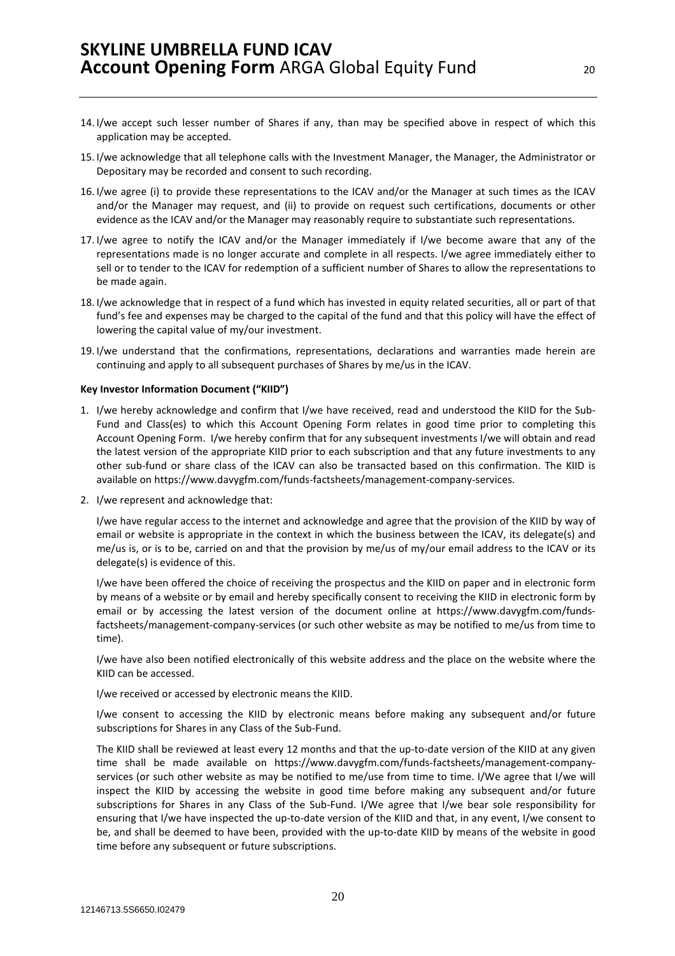- 14. I/we accept such lesser number of Shares if any, than may be specified above in respect of which this application may be accepted.
- 15. I/we acknowledge that all telephone calls with the Investment Manager, the Manager, the Administrator or Depositary may be recorded and consent to such recording.
- 16. I/we agree (i) to provide these representations to the ICAV and/or the Manager at such times as the ICAV and/or the Manager may request, and (ii) to provide on request such certifications, documents or other evidence as the ICAV and/or the Manager may reasonably require to substantiate such representations.
- 17. I/we agree to notify the ICAV and/or the Manager immediately if I/we become aware that any of the representations made is no longer accurate and complete in all respects. I/we agree immediately either to sell or to tender to the ICAV for redemption of a sufficient number of Shares to allow the representations to be made again.
- 18. I/we acknowledge that in respect of a fund which has invested in equity related securities, all or part of that fund's fee and expenses may be charged to the capital of the fund and that this policy will have the effect of lowering the capital value of my/our investment.
- 19. I/we understand that the confirmations, representations, declarations and warranties made herein are continuing and apply to all subsequent purchases of Shares by me/us in the ICAV.

#### **Key Investor Information Document ("KIID")**

- 1. I/we hereby acknowledge and confirm that I/we have received, read and understood the KIID for the Sub-Fund and Class(es) to which this Account Opening Form relates in good time prior to completing this Account Opening Form. I/we hereby confirm that for any subsequent investments I/we will obtain and read the latest version of the appropriate KIID prior to each subscription and that any future investments to any other sub-fund or share class of the ICAV can also be transacted based on this confirmation. The KIID is available on https://www.davygfm.com/funds-factsheets/management-company-services.
- 2. I/we represent and acknowledge that:

I/we have regular access to the internet and acknowledge and agree that the provision of the KIID by way of email or website is appropriate in the context in which the business between the ICAV, its delegate(s) and me/us is, or is to be, carried on and that the provision by me/us of my/our email address to the ICAV or its delegate(s) is evidence of this.

I/we have been offered the choice of receiving the prospectus and the KIID on paper and in electronic form by means of a website or by email and hereby specifically consent to receiving the KIID in electronic form by email or by accessing the latest version of the document online at https://www.davygfm.com/fundsfactsheets/management-company-services (or such other website as may be notified to me/us from time to time).

I/we have also been notified electronically of this website address and the place on the website where the KIID can be accessed.

I/we received or accessed by electronic means the KIID.

I/we consent to accessing the KIID by electronic means before making any subsequent and/or future subscriptions for Shares in any Class of the Sub-Fund.

The KIID shall be reviewed at least every 12 months and that the up-to-date version of the KIID at any given time shall be made available on https://www.davygfm.com/funds-factsheets/management-companyservices (or such other website as may be notified to me/use from time to time. I/We agree that I/we will inspect the KIID by accessing the website in good time before making any subsequent and/or future subscriptions for Shares in any Class of the Sub-Fund. I/We agree that I/we bear sole responsibility for ensuring that I/we have inspected the up-to-date version of the KIID and that, in any event, I/we consent to be, and shall be deemed to have been, provided with the up-to-date KIID by means of the website in good time before any subsequent or future subscriptions.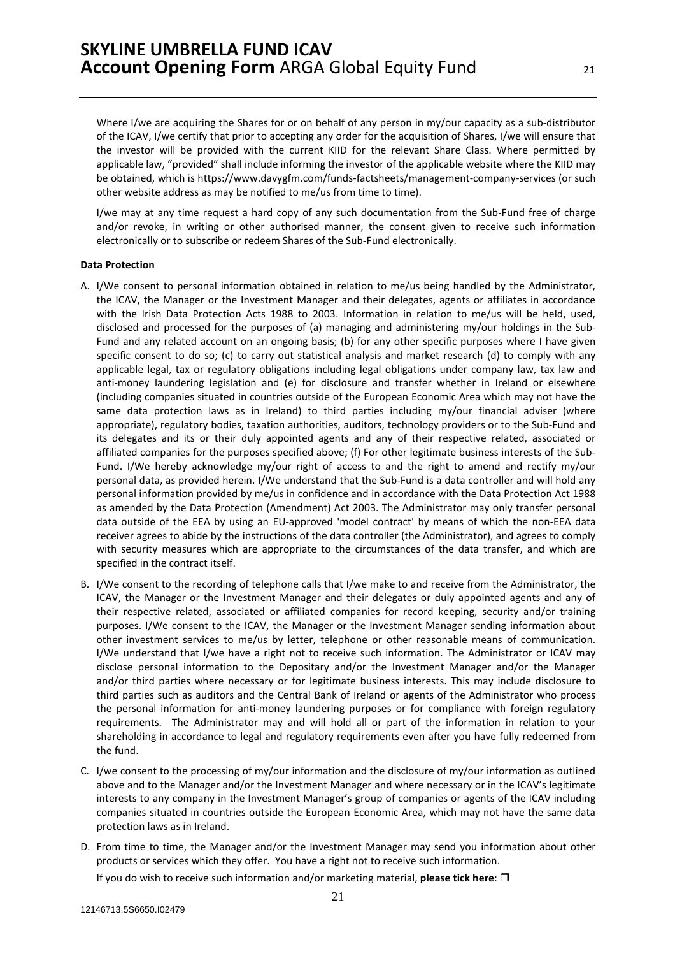Where I/we are acquiring the Shares for or on behalf of any person in my/our capacity as a sub-distributor of the ICAV, I/we certify that prior to accepting any order for the acquisition of Shares, I/we will ensure that the investor will be provided with the current KIID for the relevant Share Class. Where permitted by applicable law, "provided" shall include informing the investor of the applicable website where the KIID may be obtained, which is https://www.davygfm.com/funds-factsheets/management-company-services (or such other website address as may be notified to me/us from time to time).

I/we may at any time request a hard copy of any such documentation from the Sub-Fund free of charge and/or revoke, in writing or other authorised manner, the consent given to receive such information electronically or to subscribe or redeem Shares of the Sub-Fund electronically.

#### **Data Protection**

- A. I/We consent to personal information obtained in relation to me/us being handled by the Administrator, the ICAV, the Manager or the Investment Manager and their delegates, agents or affiliates in accordance with the Irish Data Protection Acts 1988 to 2003. Information in relation to me/us will be held, used, disclosed and processed for the purposes of (a) managing and administering my/our holdings in the Sub-Fund and any related account on an ongoing basis; (b) for any other specific purposes where I have given specific consent to do so; (c) to carry out statistical analysis and market research (d) to comply with any applicable legal, tax or regulatory obligations including legal obligations under company law, tax law and anti-money laundering legislation and (e) for disclosure and transfer whether in Ireland or elsewhere (including companies situated in countries outside of the European Economic Area which may not have the same data protection laws as in Ireland) to third parties including my/our financial adviser (where appropriate), regulatory bodies, taxation authorities, auditors, technology providers or to the Sub-Fund and its delegates and its or their duly appointed agents and any of their respective related, associated or affiliated companies for the purposes specified above; (f) For other legitimate business interests of the Sub-Fund. I/We hereby acknowledge my/our right of access to and the right to amend and rectify my/our personal data, as provided herein. I/We understand that the Sub-Fund is a data controller and will hold any personal information provided by me/us in confidence and in accordance with the Data Protection Act 1988 as amended by the Data Protection (Amendment) Act 2003. The Administrator may only transfer personal data outside of the EEA by using an EU-approved 'model contract' by means of which the non-EEA data receiver agrees to abide by the instructions of the data controller (the Administrator), and agrees to comply with security measures which are appropriate to the circumstances of the data transfer, and which are specified in the contract itself.
- B. I/We consent to the recording of telephone calls that I/we make to and receive from the Administrator, the ICAV, the Manager or the Investment Manager and their delegates or duly appointed agents and any of their respective related, associated or affiliated companies for record keeping, security and/or training purposes. I/We consent to the ICAV, the Manager or the Investment Manager sending information about other investment services to me/us by letter, telephone or other reasonable means of communication. I/We understand that I/we have a right not to receive such information. The Administrator or ICAV may disclose personal information to the Depositary and/or the Investment Manager and/or the Manager and/or third parties where necessary or for legitimate business interests. This may include disclosure to third parties such as auditors and the Central Bank of Ireland or agents of the Administrator who process the personal information for anti-money laundering purposes or for compliance with foreign regulatory requirements. The Administrator may and will hold all or part of the information in relation to your shareholding in accordance to legal and regulatory requirements even after you have fully redeemed from the fund.
- C. I/we consent to the processing of my/our information and the disclosure of my/our information as outlined above and to the Manager and/or the Investment Manager and where necessary or in the ICAV's legitimate interests to any company in the Investment Manager's group of companies or agents of the ICAV including companies situated in countries outside the European Economic Area, which may not have the same data protection laws as in Ireland.
- D. From time to time, the Manager and/or the Investment Manager may send you information about other products or services which they offer. You have a right not to receive such information.

If you do wish to receive such information and/or marketing material, **please tick here**: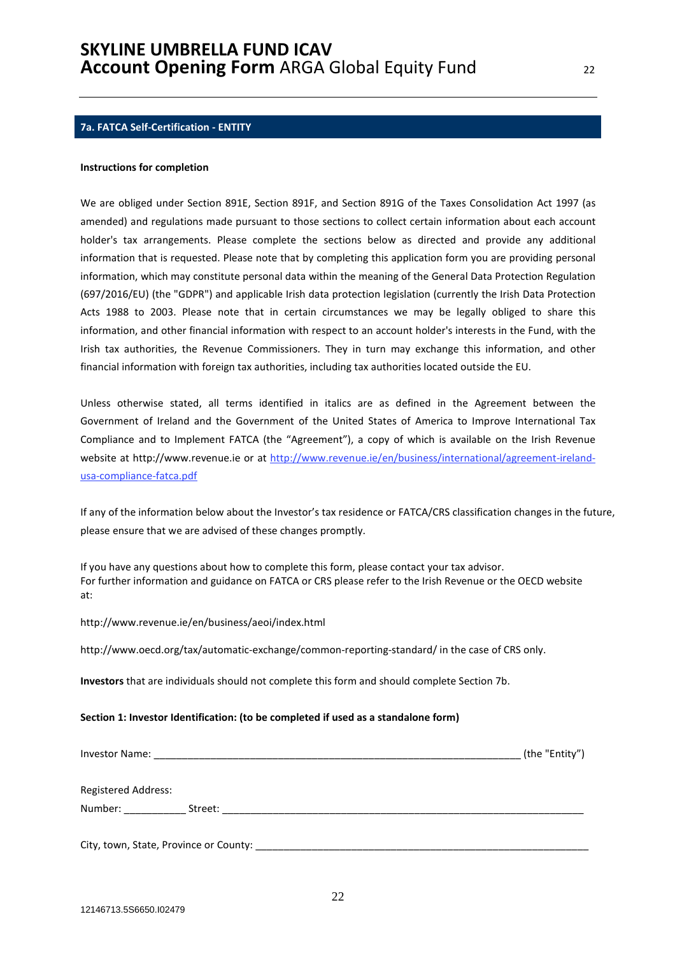### **7a. FATCA Self-Certification - ENTITY**

#### **Instructions for completion**

We are obliged under Section 891E, Section 891F, and Section 891G of the Taxes Consolidation Act 1997 (as amended) and regulations made pursuant to those sections to collect certain information about each account holder's tax arrangements. Please complete the sections below as directed and provide any additional information that is requested. Please note that by completing this application form you are providing personal information, which may constitute personal data within the meaning of the General Data Protection Regulation (697/2016/EU) (the "GDPR") and applicable Irish data protection legislation (currently the Irish Data Protection Acts 1988 to 2003. Please note that in certain circumstances we may be legally obliged to share this information, and other financial information with respect to an account holder's interests in the Fund, with the Irish tax authorities, the Revenue Commissioners. They in turn may exchange this information, and other financial information with foreign tax authorities, including tax authorities located outside the EU.

Unless otherwise stated, all terms identified in italics are as defined in the Agreement between the Government of Ireland and the Government of the United States of America to Improve International Tax Compliance and to Implement FATCA (the "Agreement"), a copy of which is available on the Irish Revenue website at http://www.revenue.ie or at http://www.revenue.ie/en/business/international/agreement-irelandusa-compliance-fatca.pdf

If any of the information below about the Investor's tax residence or FATCA/CRS classification changes in the future, please ensure that we are advised of these changes promptly.

If you have any questions about how to complete this form, please contact your tax advisor. For further information and guidance on FATCA or CRS please refer to the Irish Revenue or the OECD website at:

#### http://www.revenue.ie/en/business/aeoi/index.html

http://www.oecd.org/tax/automatic-exchange/common-reporting-standard/ in the case of CRS only.

**Investors** that are individuals should not complete this form and should complete Section 7b.

#### **Section 1: Investor Identification: (to be completed if used as a standalone form)**

| Investor Name:                                                                                                                                                                                                                 |         | (the "Entity") |
|--------------------------------------------------------------------------------------------------------------------------------------------------------------------------------------------------------------------------------|---------|----------------|
| <b>Registered Address:</b>                                                                                                                                                                                                     |         |                |
| Number: and the state of the state of the state of the state of the state of the state of the state of the state of the state of the state of the state of the state of the state of the state of the state of the state of th | Street: |                |
| City, town, State, Province or County:                                                                                                                                                                                         |         |                |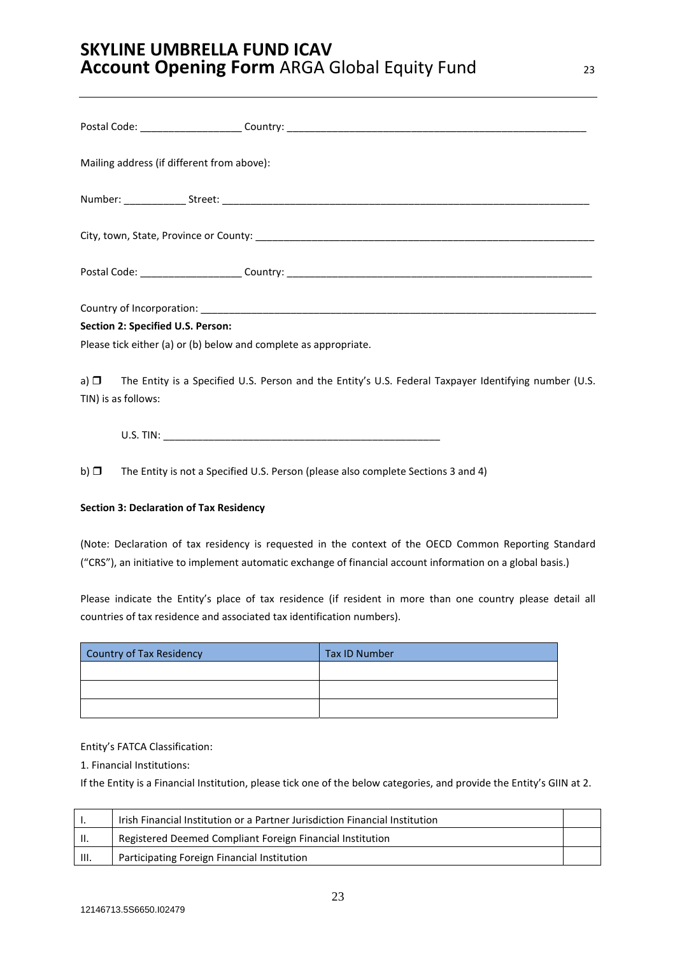|           | Mailing address (if different from above):                       |                                                                                                                 |
|-----------|------------------------------------------------------------------|-----------------------------------------------------------------------------------------------------------------|
|           |                                                                  |                                                                                                                 |
|           |                                                                  |                                                                                                                 |
|           |                                                                  |                                                                                                                 |
|           |                                                                  |                                                                                                                 |
|           | Section 2: Specified U.S. Person:                                |                                                                                                                 |
|           | Please tick either (a) or (b) below and complete as appropriate. |                                                                                                                 |
|           | TIN) is as follows:                                              | a) $\Box$ The Entity is a Specified U.S. Person and the Entity's U.S. Federal Taxpayer Identifying number (U.S. |
|           |                                                                  |                                                                                                                 |
| b) $\Box$ |                                                                  | The Entity is not a Specified U.S. Person (please also complete Sections 3 and 4)                               |

### **Section 3: Declaration of Tax Residency**

(Note: Declaration of tax residency is requested in the context of the OECD Common Reporting Standard ("CRS"), an initiative to implement automatic exchange of financial account information on a global basis.)

Please indicate the Entity's place of tax residence (if resident in more than one country please detail all countries of tax residence and associated tax identification numbers).

| Country of Tax Residency | <b>Tax ID Number</b> |
|--------------------------|----------------------|
|                          |                      |
|                          |                      |
|                          |                      |

### Entity's FATCA Classification:

1. Financial Institutions:

If the Entity is a Financial Institution, please tick one of the below categories, and provide the Entity's GIIN at 2.

|      | Irish Financial Institution or a Partner Jurisdiction Financial Institution |  |
|------|-----------------------------------------------------------------------------|--|
| H.   | Registered Deemed Compliant Foreign Financial Institution                   |  |
| III. | Participating Foreign Financial Institution                                 |  |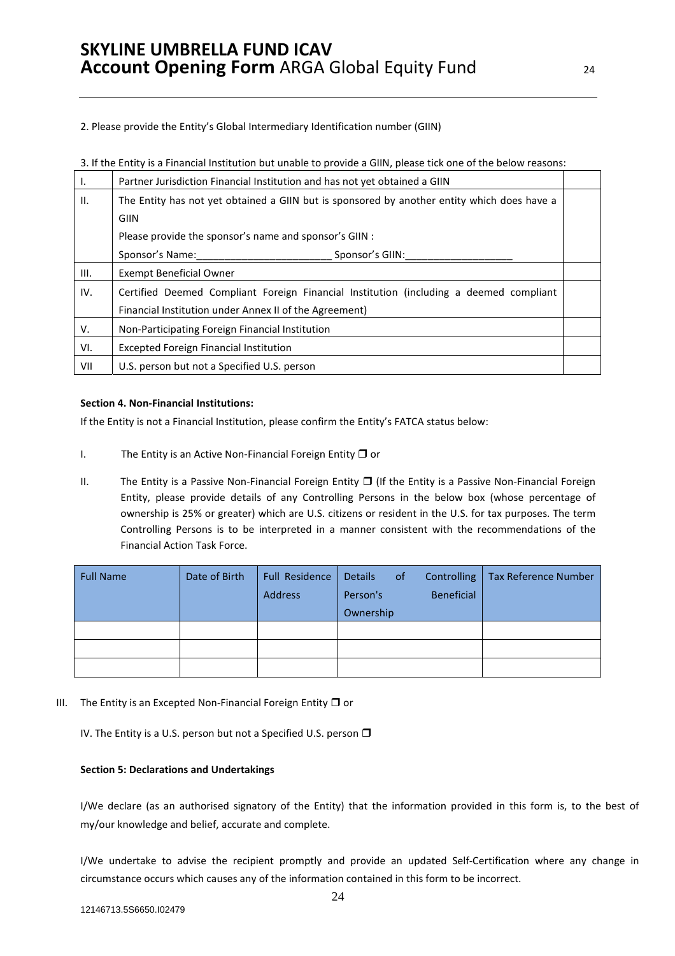2. Please provide the Entity's Global Intermediary Identification number (GIIN)

| Ι.   | Partner Jurisdiction Financial Institution and has not yet obtained a GIIN                  |  |
|------|---------------------------------------------------------------------------------------------|--|
| Ш.   | The Entity has not yet obtained a GIIN but is sponsored by another entity which does have a |  |
|      | GIIN                                                                                        |  |
|      | Please provide the sponsor's name and sponsor's GIIN :                                      |  |
|      | Sponsor's Name:<br>Sponsor's GIIN:                                                          |  |
| III. | <b>Exempt Beneficial Owner</b>                                                              |  |
| IV.  | Certified Deemed Compliant Foreign Financial Institution (including a deemed compliant      |  |
|      | Financial Institution under Annex II of the Agreement)                                      |  |
| V.   | Non-Participating Foreign Financial Institution                                             |  |
| VI.  | <b>Excepted Foreign Financial Institution</b>                                               |  |
| VII  | U.S. person but not a Specified U.S. person                                                 |  |

### **Section 4. Non-Financial Institutions:**

If the Entity is not a Financial Institution, please confirm the Entity's FATCA status below:

- I. The Entity is an Active Non-Financial Foreign Entity  $\Box$  or
- II. The Entity is a Passive Non-Financial Foreign Entity  $\Box$  (If the Entity is a Passive Non-Financial Foreign Entity, please provide details of any Controlling Persons in the below box (whose percentage of ownership is 25% or greater) which are U.S. citizens or resident in the U.S. for tax purposes. The term Controlling Persons is to be interpreted in a manner consistent with the recommendations of the Financial Action Task Force.

| <b>Full Name</b> | Date of Birth | Full Residence<br>Address | <b>Details</b><br><sub>of</sub><br>Person's | <b>Tax Reference Number</b><br>Controlling<br><b>Beneficial</b> |
|------------------|---------------|---------------------------|---------------------------------------------|-----------------------------------------------------------------|
|                  |               |                           | Ownership                                   |                                                                 |
|                  |               |                           |                                             |                                                                 |
|                  |               |                           |                                             |                                                                 |
|                  |               |                           |                                             |                                                                 |

III. The Entity is an Excepted Non-Financial Foreign Entity  $\Box$  or

IV. The Entity is a U.S. person but not a Specified U.S. person  $\Box$ 

### **Section 5: Declarations and Undertakings**

I/We declare (as an authorised signatory of the Entity) that the information provided in this form is, to the best of my/our knowledge and belief, accurate and complete.

I/We undertake to advise the recipient promptly and provide an updated Self-Certification where any change in circumstance occurs which causes any of the information contained in this form to be incorrect.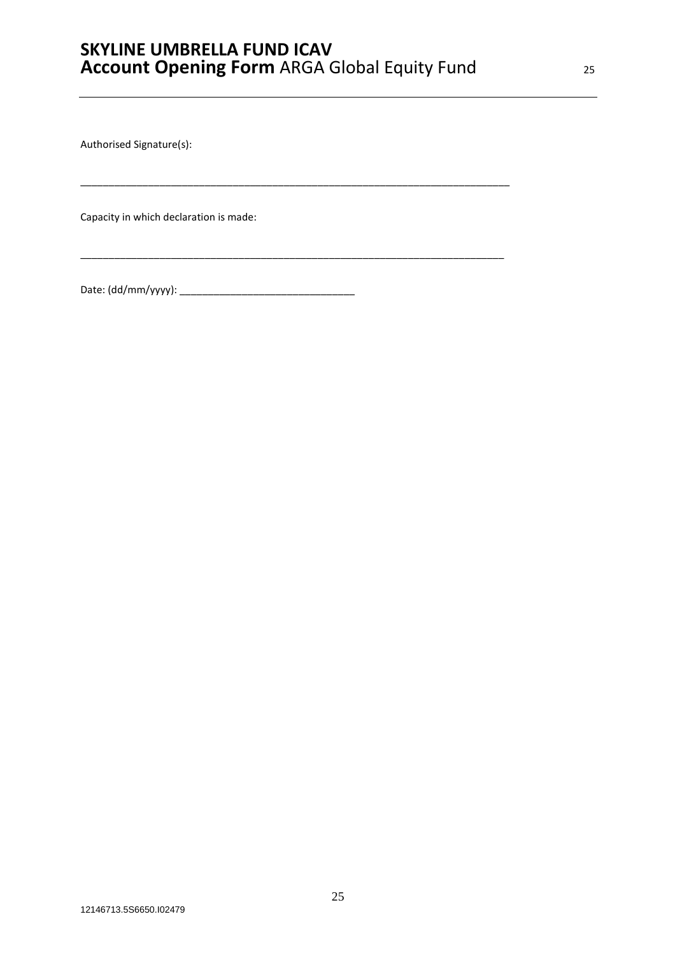\_\_\_\_\_\_\_\_\_\_\_\_\_\_\_\_\_\_\_\_\_\_\_\_\_\_\_\_\_\_\_\_\_\_\_\_\_\_\_\_\_\_\_\_\_\_\_\_\_\_\_\_\_\_\_\_\_\_\_\_\_\_\_\_\_\_\_\_\_\_\_\_\_\_\_\_

\_\_\_\_\_\_\_\_\_\_\_\_\_\_\_\_\_\_\_\_\_\_\_\_\_\_\_\_\_\_\_\_\_\_\_\_\_\_\_\_\_\_\_\_\_\_\_\_\_\_\_\_\_\_\_\_\_\_\_\_\_\_\_\_\_\_\_\_\_\_\_\_\_\_\_

Authorised Signature(s):

Capacity in which declaration is made:

Date: (dd/mm/yyyy): \_\_\_\_\_\_\_\_\_\_\_\_\_\_\_\_\_\_\_\_\_\_\_\_\_\_\_\_\_\_\_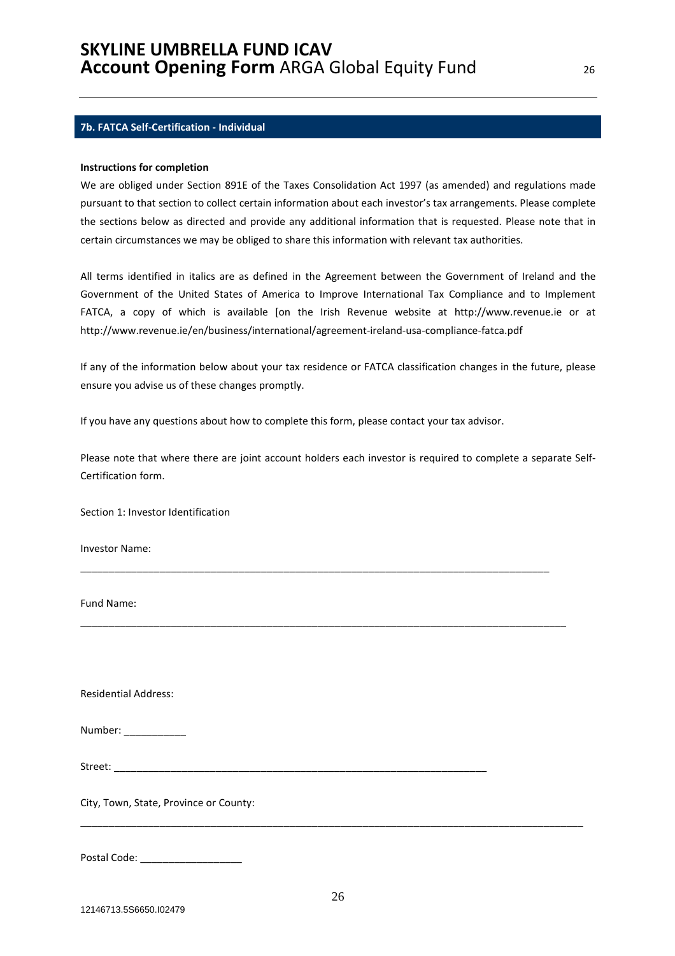#### **7b. FATCA Self-Certification - Individual**

#### **Instructions for completion**

We are obliged under Section 891E of the Taxes Consolidation Act 1997 (as amended) and regulations made pursuant to that section to collect certain information about each investor's tax arrangements. Please complete the sections below as directed and provide any additional information that is requested. Please note that in certain circumstances we may be obliged to share this information with relevant tax authorities.

All terms identified in italics are as defined in the Agreement between the Government of Ireland and the Government of the United States of America to Improve International Tax Compliance and to Implement FATCA, a copy of which is available [on the Irish Revenue website at http://www.revenue.ie or at http://www.revenue.ie/en/business/international/agreement-ireland-usa-compliance-fatca.pdf

If any of the information below about your tax residence or FATCA classification changes in the future, please ensure you advise us of these changes promptly.

If you have any questions about how to complete this form, please contact your tax advisor.

Please note that where there are joint account holders each investor is required to complete a separate Self-Certification form.

\_\_\_\_\_\_\_\_\_\_\_\_\_\_\_\_\_\_\_\_\_\_\_\_\_\_\_\_\_\_\_\_\_\_\_\_\_\_\_\_\_\_\_\_\_\_\_\_\_\_\_\_\_\_\_\_\_\_\_\_\_\_\_\_\_\_\_\_\_\_\_\_\_\_\_\_\_\_\_\_\_\_\_

\_\_\_\_\_\_\_\_\_\_\_\_\_\_\_\_\_\_\_\_\_\_\_\_\_\_\_\_\_\_\_\_\_\_\_\_\_\_\_\_\_\_\_\_\_\_\_\_\_\_\_\_\_\_\_\_\_\_\_\_\_\_\_\_\_\_\_\_\_\_\_\_\_\_\_\_\_\_\_\_\_\_\_\_\_\_

Section 1: Investor Identification

Investor Name:

Fund Name:

Residential Address:

| Number: |  |
|---------|--|
|---------|--|

Street: \_\_\_\_\_\_\_\_\_\_\_\_\_\_\_\_\_\_\_\_\_\_\_\_\_\_\_\_\_\_\_\_\_\_\_\_\_\_\_\_\_\_\_\_\_\_\_\_\_\_\_\_\_\_\_\_\_\_\_\_\_\_\_\_\_\_

City, Town, State, Province or County:

Postal Code: \_\_\_\_\_\_\_\_\_\_\_\_\_\_\_\_\_\_

\_\_\_\_\_\_\_\_\_\_\_\_\_\_\_\_\_\_\_\_\_\_\_\_\_\_\_\_\_\_\_\_\_\_\_\_\_\_\_\_\_\_\_\_\_\_\_\_\_\_\_\_\_\_\_\_\_\_\_\_\_\_\_\_\_\_\_\_\_\_\_\_\_\_\_\_\_\_\_\_\_\_\_\_\_\_\_\_\_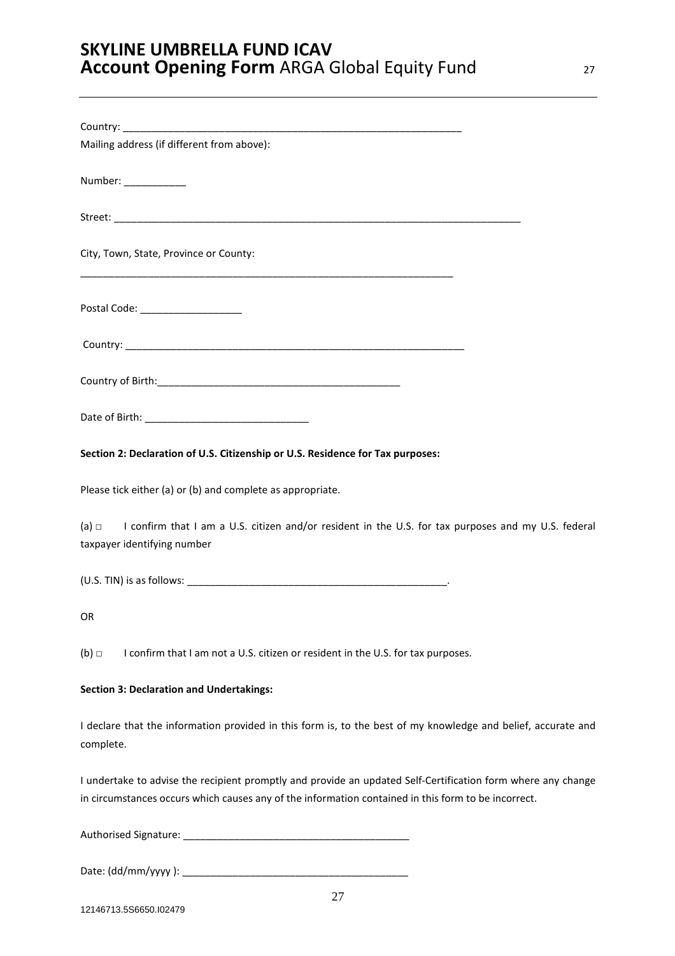| Mailing address (if different from above):                                                                                                                                                                          |
|---------------------------------------------------------------------------------------------------------------------------------------------------------------------------------------------------------------------|
| Number: ____________                                                                                                                                                                                                |
|                                                                                                                                                                                                                     |
| City, Town, State, Province or County:                                                                                                                                                                              |
| Postal Code: ____________________                                                                                                                                                                                   |
|                                                                                                                                                                                                                     |
|                                                                                                                                                                                                                     |
|                                                                                                                                                                                                                     |
| Section 2: Declaration of U.S. Citizenship or U.S. Residence for Tax purposes:                                                                                                                                      |
| Please tick either (a) or (b) and complete as appropriate.                                                                                                                                                          |
| (a) $\Box$ I confirm that I am a U.S. citizen and/or resident in the U.S. for tax purposes and my U.S. federal<br>taxpayer identifying number                                                                       |
|                                                                                                                                                                                                                     |
| OR                                                                                                                                                                                                                  |
| $(b)$ $\square$<br>I confirm that I am not a U.S. citizen or resident in the U.S. for tax purposes.                                                                                                                 |
| <b>Section 3: Declaration and Undertakings:</b>                                                                                                                                                                     |
| I declare that the information provided in this form is, to the best of my knowledge and belief, accurate and<br>complete.                                                                                          |
| I undertake to advise the recipient promptly and provide an updated Self-Certification form where any change<br>in circumstances occurs which causes any of the information contained in this form to be incorrect. |
|                                                                                                                                                                                                                     |

Date: (dd/mm/yyyy ): \_\_\_\_\_\_\_\_\_\_\_\_\_\_\_\_\_\_\_\_\_\_\_\_\_\_\_\_\_\_\_\_\_\_\_\_\_\_\_\_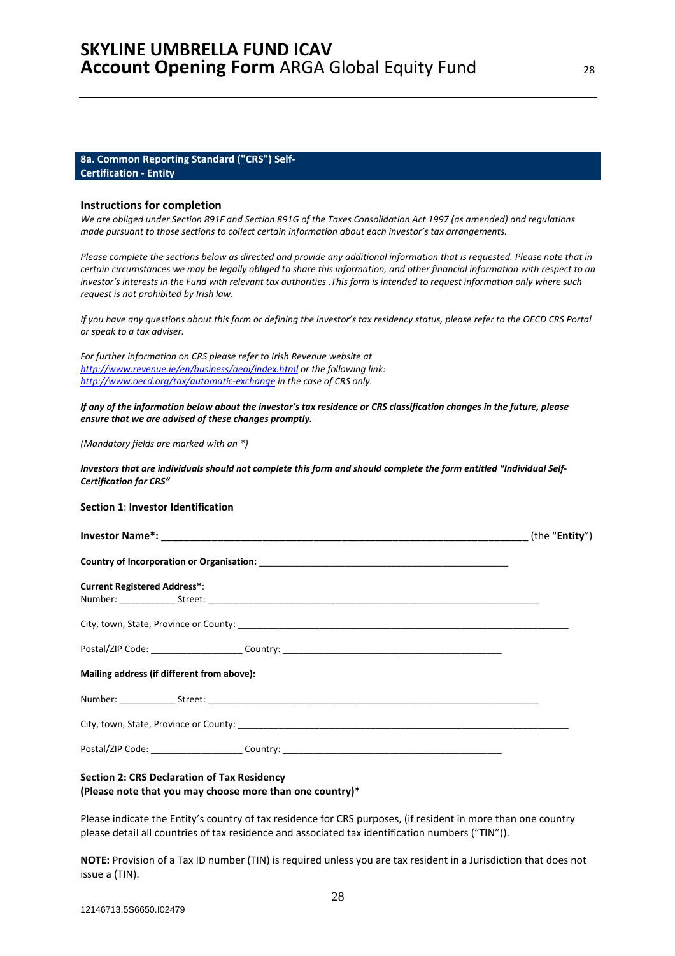#### **8a. Common Reporting Standard ("CRS") Self-Certification - Entity**

#### **Instructions for completion**

*We are obliged under Section 891F and Section 891G of the Taxes Consolidation Act 1997 (as amended) and regulations made pursuant to those sections to collect certain information about each investor's tax arrangements.* 

*Please complete the sections below as directed and provide any additional information that is requested. Please note that in certain circumstances we may be legally obliged to share this information, and other financial information with respect to an investor's interests in the Fund with relevant tax authorities .This form is intended to request information only where such request is not prohibited by Irish law.* 

*If you have any questions about this form or defining the investor's tax residency status, please refer to the OECD CRS Portal or speak to a tax adviser.* 

*For further information on CRS please refer to Irish Revenue website at http://www.revenue.ie/en/business/aeoi/index.html or the following link: http://www.oecd.org/tax/automatic-exchange in the case of CRS only.* 

*If any of the information below about the investor's tax residence or CRS classification changes in the future, please ensure that we are advised of these changes promptly.* 

*(Mandatory fields are marked with an \*)* 

*Investors that are individuals should not complete this form and should complete the form entitled "Individual Self-Certification for CRS"* 

#### **Section 1**: **Investor Identification**

| <b>Current Registered Address*:</b>        |                                                                                   |  |  |
|--------------------------------------------|-----------------------------------------------------------------------------------|--|--|
|                                            |                                                                                   |  |  |
|                                            | Postal/ZIP Code: ______________________Country: _________________________________ |  |  |
| Mailing address (if different from above): |                                                                                   |  |  |
|                                            |                                                                                   |  |  |
|                                            |                                                                                   |  |  |
|                                            | Postal/ZIP Code: _________________________Country: ______________________________ |  |  |
|                                            |                                                                                   |  |  |

### **Section 2: CRS Declaration of Tax Residency (Please note that you may choose more than one country)\***

Please indicate the Entity's country of tax residence for CRS purposes, (if resident in more than one country please detail all countries of tax residence and associated tax identification numbers ("TIN")).

**NOTE:** Provision of a Tax ID number (TIN) is required unless you are tax resident in a Jurisdiction that does not issue a (TIN).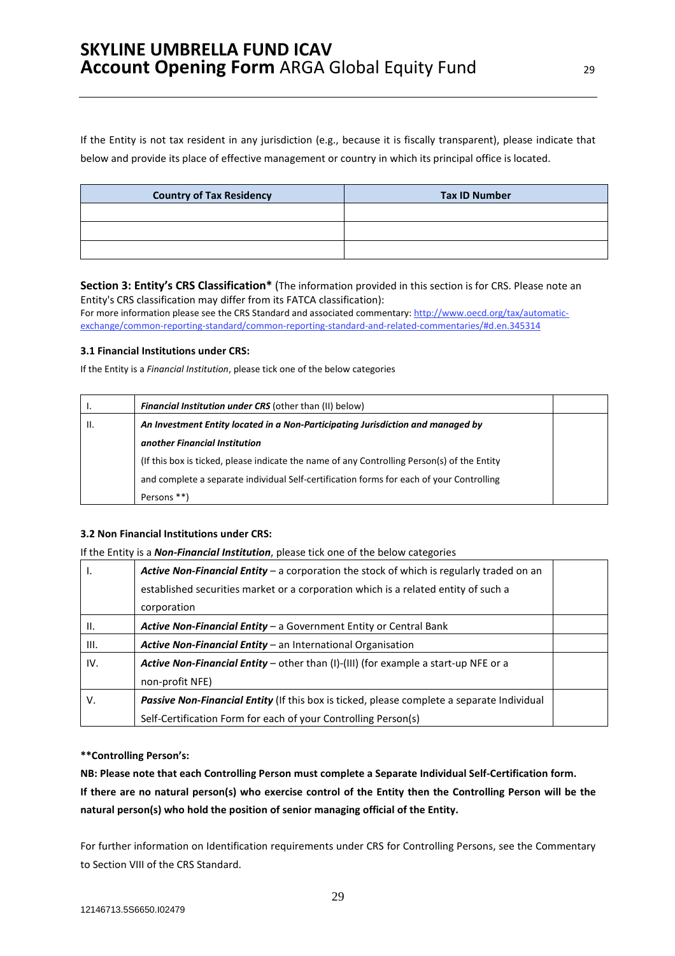If the Entity is not tax resident in any jurisdiction (e.g., because it is fiscally transparent), please indicate that below and provide its place of effective management or country in which its principal office is located.

| <b>Country of Tax Residency</b> | <b>Tax ID Number</b> |
|---------------------------------|----------------------|
|                                 |                      |
|                                 |                      |
|                                 |                      |

### **Section 3: Entity's CRS Classification\*** (The information provided in this section is for CRS. Please note an Entity's CRS classification may differ from its FATCA classification):

For more information please see the CRS Standard and associated commentary: http://www.oecd.org/tax/automaticexchange/common-reporting-standard/common-reporting-standard-and-related-commentaries/#d.en.345314

### **3.1 Financial Institutions under CRS:**

If the Entity is a *Financial Institution*, please tick one of the below categories

|       | <b>Financial Institution under CRS</b> (other than (II) below)                              |  |
|-------|---------------------------------------------------------------------------------------------|--|
| - II. | An Investment Entity located in a Non-Participating Jurisdiction and managed by             |  |
|       | another Financial Institution                                                               |  |
|       | (If this box is ticked, please indicate the name of any Controlling Person(s) of the Entity |  |
|       | and complete a separate individual Self-certification forms for each of your Controlling    |  |
|       | Persons **)                                                                                 |  |

# **3.2 Non Financial Institutions under CRS:**

If the Entity is a *Non-Financial Institution*, please tick one of the below categories

| Ι.              | <b>Active Non-Financial Entity</b> – a corporation the stock of which is regularly traded on an   |  |
|-----------------|---------------------------------------------------------------------------------------------------|--|
|                 | established securities market or a corporation which is a related entity of such a                |  |
|                 | corporation                                                                                       |  |
| $\mathbf{II}$ . | Active Non-Financial Entity - a Government Entity or Central Bank                                 |  |
| III.            | <b>Active Non-Financial Entity</b> – an International Organisation                                |  |
| IV.             | <b>Active Non-Financial Entity</b> – other than (I)-(III) (for example a start-up NFE or a        |  |
|                 | non-profit NFE)                                                                                   |  |
| V.              | <b>Passive Non-Financial Entity</b> (If this box is ticked, please complete a separate Individual |  |
|                 | Self-Certification Form for each of your Controlling Person(s)                                    |  |

# **\*\*Controlling Person's:**

**NB: Please note that each Controlling Person must complete a Separate Individual Self-Certification form. If there are no natural person(s) who exercise control of the Entity then the Controlling Person will be the natural person(s) who hold the position of senior managing official of the Entity.** 

For further information on Identification requirements under CRS for Controlling Persons, see the Commentary to Section VIII of the CRS Standard.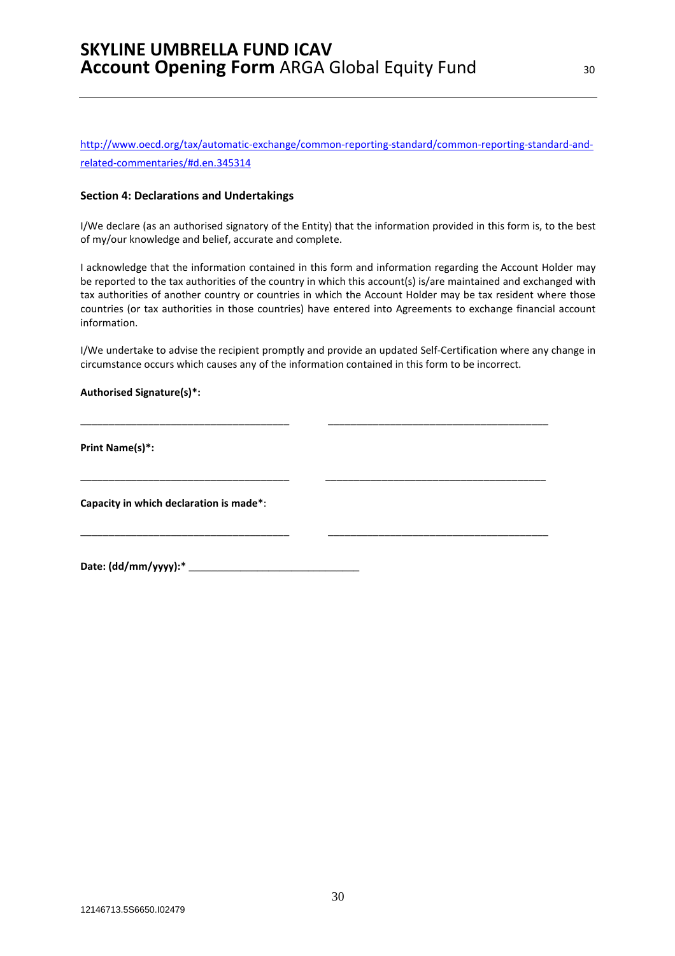http://www.oecd.org/tax/automatic-exchange/common-reporting-standard/common-reporting-standard-andrelated-commentaries/#d.en.345314

#### **Section 4: Declarations and Undertakings**

I/We declare (as an authorised signatory of the Entity) that the information provided in this form is, to the best of my/our knowledge and belief, accurate and complete.

I acknowledge that the information contained in this form and information regarding the Account Holder may be reported to the tax authorities of the country in which this account(s) is/are maintained and exchanged with tax authorities of another country or countries in which the Account Holder may be tax resident where those countries (or tax authorities in those countries) have entered into Agreements to exchange financial account information.

I/We undertake to advise the recipient promptly and provide an updated Self-Certification where any change in circumstance occurs which causes any of the information contained in this form to be incorrect.

\_\_\_\_\_\_\_\_\_\_\_\_\_\_\_\_\_\_\_\_\_\_\_\_\_\_\_\_\_\_\_\_\_\_\_\_\_ \_\_\_\_\_\_\_\_\_\_\_\_\_\_\_\_\_\_\_\_\_\_\_\_\_\_\_\_\_\_\_\_\_\_\_\_\_\_\_

\_\_\_\_\_\_\_\_\_\_\_\_\_\_\_\_\_\_\_\_\_\_\_\_\_\_\_\_\_\_\_\_\_\_\_\_\_ \_\_\_\_\_\_\_\_\_\_\_\_\_\_\_\_\_\_\_\_\_\_\_\_\_\_\_\_\_\_\_\_\_\_\_\_\_\_\_

\_\_\_\_\_\_\_\_\_\_\_\_\_\_\_\_\_\_\_\_\_\_\_\_\_\_\_\_\_\_\_\_\_\_\_\_\_ \_\_\_\_\_\_\_\_\_\_\_\_\_\_\_\_\_\_\_\_\_\_\_\_\_\_\_\_\_\_\_\_\_\_\_\_\_\_\_

#### **Authorised Signature(s)\*:**

**Print Name(s)\*:** 

**Capacity in which declaration is made\***:

**Date: (dd/mm/yyyy):\*** \_\_\_\_\_\_\_\_\_\_\_\_\_\_\_\_\_\_\_\_\_\_\_\_\_\_\_\_\_\_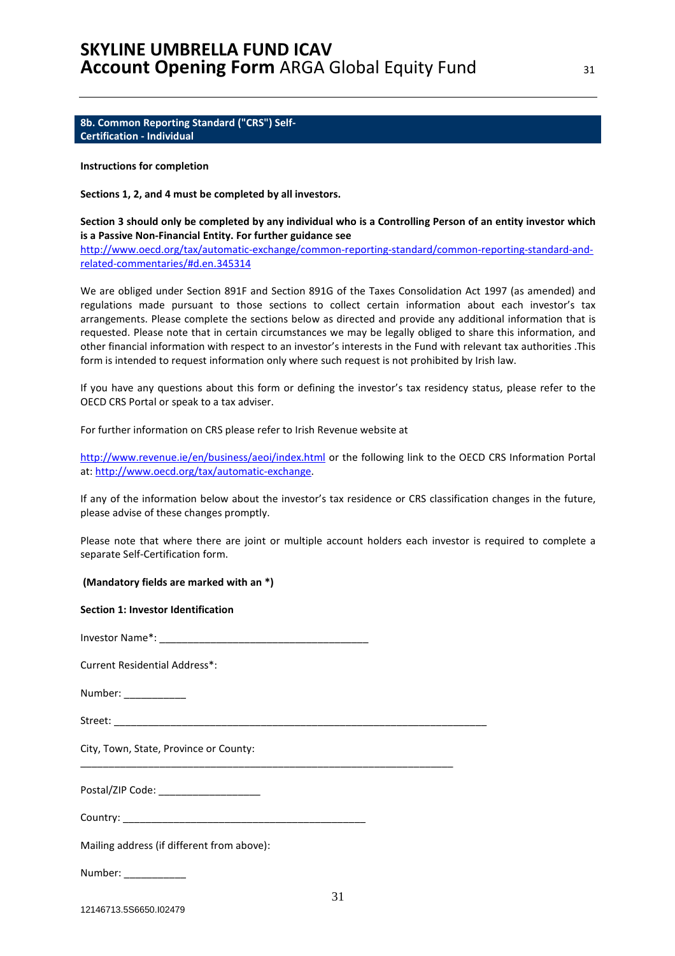**8b. Common Reporting Standard ("CRS") Self-Certification - Individual** 

#### **Instructions for completion**

**Sections 1, 2, and 4 must be completed by all investors.** 

**Section 3 should only be completed by any individual who is a Controlling Person of an entity investor which is a Passive Non-Financial Entity. For further guidance see** 

http://www.oecd.org/tax/automatic-exchange/common-reporting-standard/common-reporting-standard-andrelated-commentaries/#d.en.345314

We are obliged under Section 891F and Section 891G of the Taxes Consolidation Act 1997 (as amended) and regulations made pursuant to those sections to collect certain information about each investor's tax arrangements. Please complete the sections below as directed and provide any additional information that is requested. Please note that in certain circumstances we may be legally obliged to share this information, and other financial information with respect to an investor's interests in the Fund with relevant tax authorities .This form is intended to request information only where such request is not prohibited by Irish law.

If you have any questions about this form or defining the investor's tax residency status, please refer to the OECD CRS Portal or speak to a tax adviser.

For further information on CRS please refer to Irish Revenue website at

http://www.revenue.ie/en/business/aeoi/index.html or the following link to the OECD CRS Information Portal at: http://www.oecd.org/tax/automatic-exchange.

If any of the information below about the investor's tax residence or CRS classification changes in the future, please advise of these changes promptly.

Please note that where there are joint or multiple account holders each investor is required to complete a separate Self-Certification form.

 **(Mandatory fields are marked with an \*)** 

#### **Section 1: Investor Identification**

Investor Name\*: \_\_\_\_\_\_\_\_\_\_\_\_\_\_\_\_\_\_\_\_\_\_\_\_\_\_\_\_\_\_\_\_\_\_\_\_\_

Current Residential Address\*:

Number:

Street:

City, Town, State, Province or County:

Postal/ZIP Code:

Country: \_\_\_\_\_\_\_\_\_\_\_\_\_\_\_\_\_\_\_\_\_\_\_\_\_\_\_\_\_\_\_\_\_\_\_\_\_\_\_\_\_\_\_

\_\_\_\_\_\_\_\_\_\_\_\_\_\_\_\_\_\_\_\_\_\_\_\_\_\_\_\_\_\_\_\_\_\_\_\_\_\_\_\_\_\_\_\_\_\_\_\_\_\_\_\_\_\_\_\_\_\_\_\_\_\_\_\_\_\_

Mailing address (if different from above):

Number: \_\_\_\_\_\_\_\_\_\_\_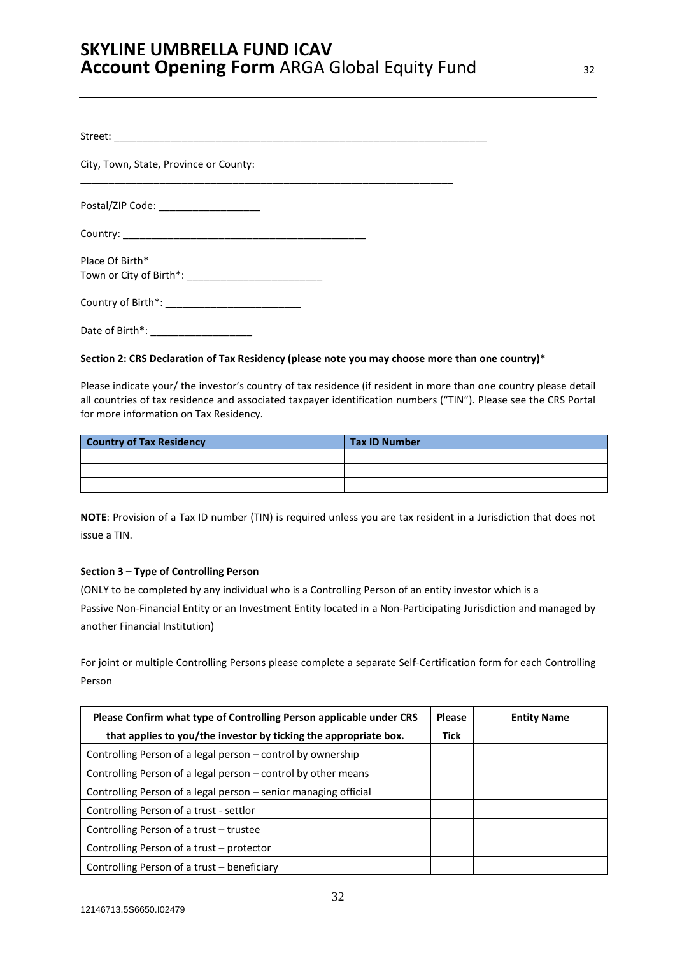| City, Town, State, Province or County: |  |
|----------------------------------------|--|
| Postal/ZIP Code: ___________________   |  |
|                                        |  |
| Place Of Birth*                        |  |
|                                        |  |
| Date of Birth*:                        |  |

### **Section 2: CRS Declaration of Tax Residency (please note you may choose more than one country)\***

Please indicate your/ the investor's country of tax residence (if resident in more than one country please detail all countries of tax residence and associated taxpayer identification numbers ("TIN"). Please see the CRS Portal for more information on Tax Residency.

| <b>Country of Tax Residency</b> | <b>Tax ID Number</b> |
|---------------------------------|----------------------|
|                                 |                      |
|                                 |                      |
|                                 |                      |

**NOTE**: Provision of a Tax ID number (TIN) is required unless you are tax resident in a Jurisdiction that does not issue a TIN.

### **Section 3 – Type of Controlling Person**

(ONLY to be completed by any individual who is a Controlling Person of an entity investor which is a Passive Non-Financial Entity or an Investment Entity located in a Non-Participating Jurisdiction and managed by another Financial Institution)

For joint or multiple Controlling Persons please complete a separate Self-Certification form for each Controlling Person

| Please Confirm what type of Controlling Person applicable under CRS |             | <b>Entity Name</b> |
|---------------------------------------------------------------------|-------------|--------------------|
| that applies to you/the investor by ticking the appropriate box.    | <b>Tick</b> |                    |
| Controlling Person of a legal person – control by ownership         |             |                    |
| Controlling Person of a legal person – control by other means       |             |                    |
| Controlling Person of a legal person – senior managing official     |             |                    |
| Controlling Person of a trust - settlor                             |             |                    |
| Controlling Person of a trust – trustee                             |             |                    |
| Controlling Person of a trust – protector                           |             |                    |
| Controlling Person of a trust – beneficiary                         |             |                    |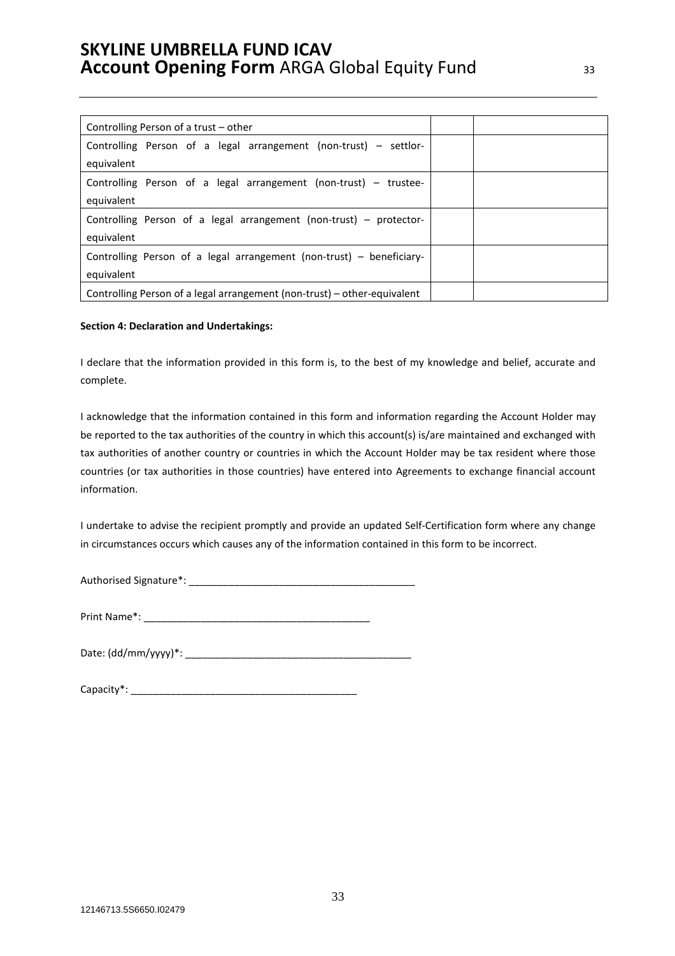| Controlling Person of a trust – other                                    |  |
|--------------------------------------------------------------------------|--|
| Controlling Person of a legal arrangement (non-trust) – settlor-         |  |
| equivalent                                                               |  |
| Controlling Person of a legal arrangement (non-trust) – trustee-         |  |
| equivalent                                                               |  |
| Controlling Person of a legal arrangement (non-trust) – protector-       |  |
| equivalent                                                               |  |
| Controlling Person of a legal arrangement (non-trust) – beneficiary-     |  |
| equivalent                                                               |  |
| Controlling Person of a legal arrangement (non-trust) – other-equivalent |  |

#### **Section 4: Declaration and Undertakings:**

I declare that the information provided in this form is, to the best of my knowledge and belief, accurate and complete.

I acknowledge that the information contained in this form and information regarding the Account Holder may be reported to the tax authorities of the country in which this account(s) is/are maintained and exchanged with tax authorities of another country or countries in which the Account Holder may be tax resident where those countries (or tax authorities in those countries) have entered into Agreements to exchange financial account information.

I undertake to advise the recipient promptly and provide an updated Self-Certification form where any change in circumstances occurs which causes any of the information contained in this form to be incorrect.

Authorised Signature\*: \_\_\_\_\_\_\_\_\_\_\_\_\_\_\_\_\_\_\_\_\_\_\_\_\_\_\_\_\_\_\_\_\_\_\_\_\_\_\_\_

Print Name\*: \_\_\_\_\_\_\_\_\_\_\_\_\_\_\_\_\_\_\_\_\_\_\_\_\_\_\_\_\_\_\_\_\_\_\_\_\_\_\_\_

| Date: (dd/mm/yyyy)*: |
|----------------------|
|----------------------|

| Capacity*: |
|------------|
|------------|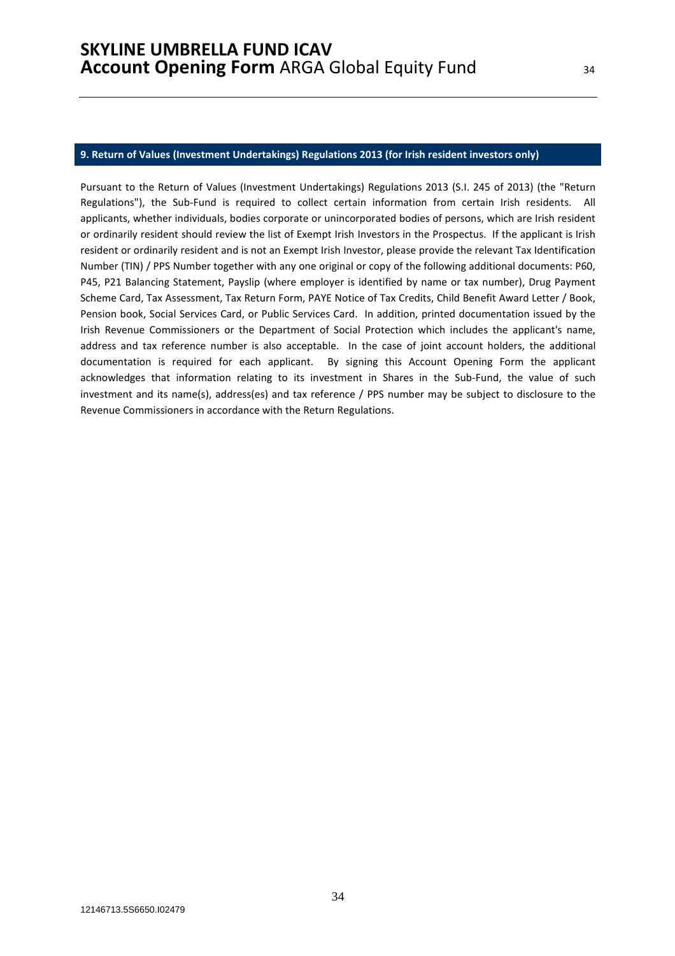#### **9. Return of Values (Investment Undertakings) Regulations 2013 (for Irish resident investors only)**

Pursuant to the Return of Values (Investment Undertakings) Regulations 2013 (S.I. 245 of 2013) (the "Return Regulations"), the Sub-Fund is required to collect certain information from certain Irish residents. All applicants, whether individuals, bodies corporate or unincorporated bodies of persons, which are Irish resident or ordinarily resident should review the list of Exempt Irish Investors in the Prospectus. If the applicant is Irish resident or ordinarily resident and is not an Exempt Irish Investor, please provide the relevant Tax Identification Number (TIN) / PPS Number together with any one original or copy of the following additional documents: P60, P45, P21 Balancing Statement, Payslip (where employer is identified by name or tax number), Drug Payment Scheme Card, Tax Assessment, Tax Return Form, PAYE Notice of Tax Credits, Child Benefit Award Letter / Book, Pension book, Social Services Card, or Public Services Card. In addition, printed documentation issued by the Irish Revenue Commissioners or the Department of Social Protection which includes the applicant's name, address and tax reference number is also acceptable. In the case of joint account holders, the additional documentation is required for each applicant. By signing this Account Opening Form the applicant acknowledges that information relating to its investment in Shares in the Sub-Fund, the value of such investment and its name(s), address(es) and tax reference / PPS number may be subject to disclosure to the Revenue Commissioners in accordance with the Return Regulations.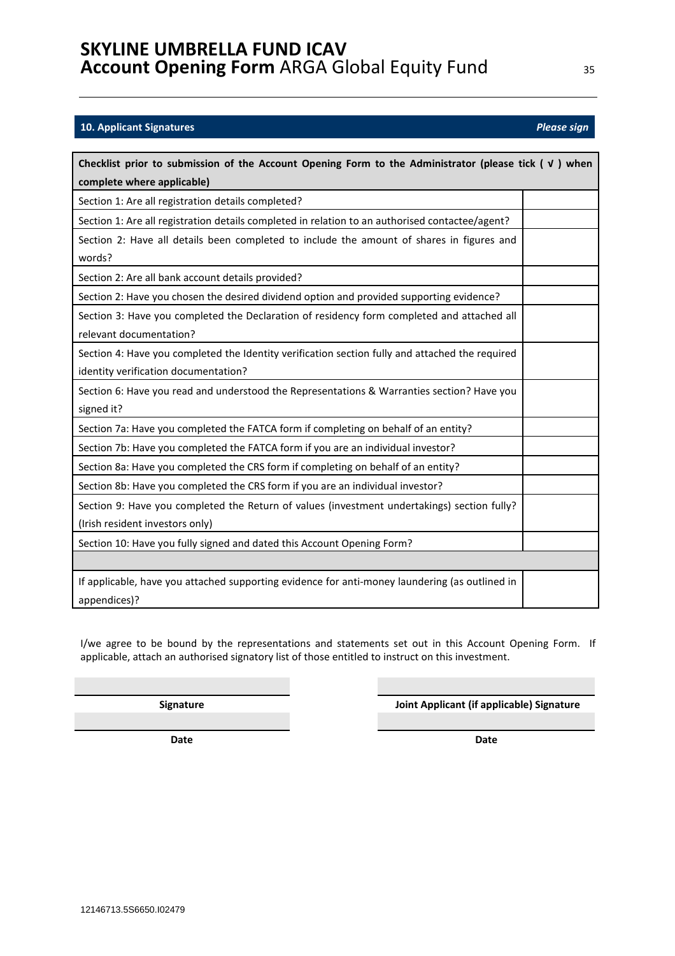### **10. Applicant Signatures** *Please sign*

| Checklist prior to submission of the Account Opening Form to the Administrator (please tick $(y)$ when |  |  |  |
|--------------------------------------------------------------------------------------------------------|--|--|--|
| complete where applicable)                                                                             |  |  |  |
| Section 1: Are all registration details completed?                                                     |  |  |  |
| Section 1: Are all registration details completed in relation to an authorised contactee/agent?        |  |  |  |
| Section 2: Have all details been completed to include the amount of shares in figures and              |  |  |  |
| words?                                                                                                 |  |  |  |
| Section 2: Are all bank account details provided?                                                      |  |  |  |
| Section 2: Have you chosen the desired dividend option and provided supporting evidence?               |  |  |  |
| Section 3: Have you completed the Declaration of residency form completed and attached all             |  |  |  |
| relevant documentation?                                                                                |  |  |  |
| Section 4: Have you completed the Identity verification section fully and attached the required        |  |  |  |
| identity verification documentation?                                                                   |  |  |  |
| Section 6: Have you read and understood the Representations & Warranties section? Have you             |  |  |  |
| signed it?                                                                                             |  |  |  |
| Section 7a: Have you completed the FATCA form if completing on behalf of an entity?                    |  |  |  |
| Section 7b: Have you completed the FATCA form if you are an individual investor?                       |  |  |  |
| Section 8a: Have you completed the CRS form if completing on behalf of an entity?                      |  |  |  |
| Section 8b: Have you completed the CRS form if you are an individual investor?                         |  |  |  |
| Section 9: Have you completed the Return of values (investment undertakings) section fully?            |  |  |  |
| (Irish resident investors only)                                                                        |  |  |  |
| Section 10: Have you fully signed and dated this Account Opening Form?                                 |  |  |  |
|                                                                                                        |  |  |  |
| If applicable, have you attached supporting evidence for anti-money laundering (as outlined in         |  |  |  |
| appendices)?                                                                                           |  |  |  |

I/we agree to be bound by the representations and statements set out in this Account Opening Form. If applicable, attach an authorised signatory list of those entitled to instruct on this investment.

**Signature Joint Applicant (if applicable) Signature** 

**Date** Date **Date Date Date**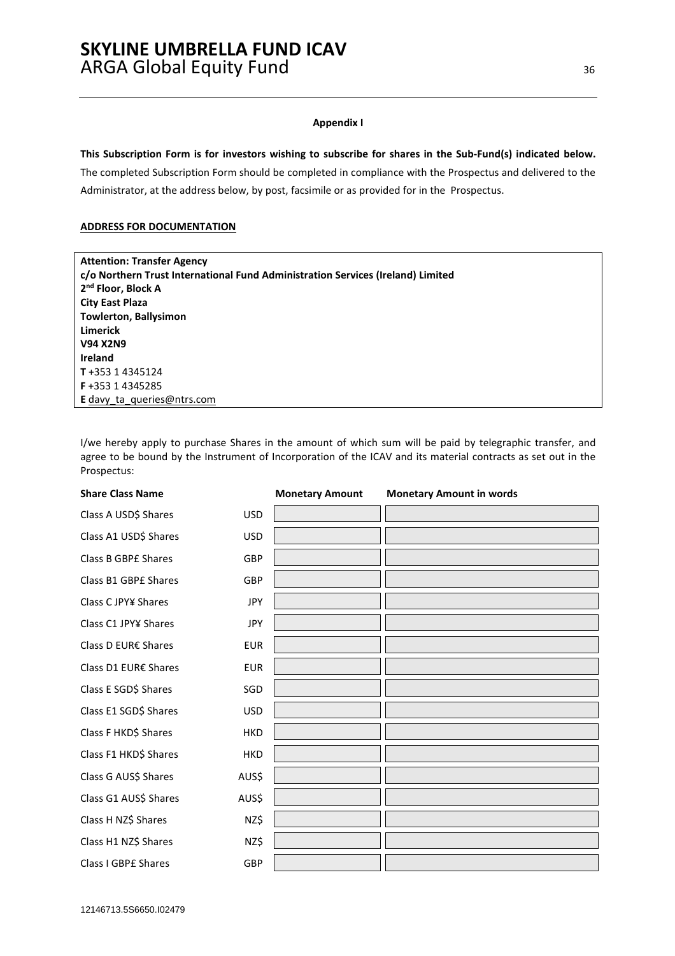#### **Appendix I**

**This Subscription Form is for investors wishing to subscribe for shares in the Sub-Fund(s) indicated below.**  The completed Subscription Form should be completed in compliance with the Prospectus and delivered to the

Administrator, at the address below, by post, facsimile or as provided for in the Prospectus.

#### **ADDRESS FOR DOCUMENTATION**

| <b>Attention: Transfer Agency</b>                                               |
|---------------------------------------------------------------------------------|
| c/o Northern Trust International Fund Administration Services (Ireland) Limited |
| 2 <sup>nd</sup> Floor, Block A                                                  |
| <b>City East Plaza</b>                                                          |
| <b>Towlerton, Ballysimon</b>                                                    |
| Limerick                                                                        |
| <b>V94 X2N9</b>                                                                 |
| <b>Ireland</b>                                                                  |
| T+353 14345124                                                                  |
| <b>F</b> +353 1 4345285                                                         |
| <b>E</b> davy ta queries@ntrs.com                                               |

I/we hereby apply to purchase Shares in the amount of which sum will be paid by telegraphic transfer, and agree to be bound by the Instrument of Incorporation of the ICAV and its material contracts as set out in the Prospectus:

| <b>Share Class Name</b> |            | <b>Monetary Amount</b> | <b>Monetary Amount in words</b> |
|-------------------------|------------|------------------------|---------------------------------|
| Class A USD\$ Shares    | <b>USD</b> |                        |                                 |
| Class A1 USD\$ Shares   | <b>USD</b> |                        |                                 |
| Class B GBPE Shares     | GBP        |                        |                                 |
| Class B1 GBPE Shares    | GBP        |                        |                                 |
| Class C JPY¥ Shares     | <b>JPY</b> |                        |                                 |
| Class C1 JPY¥ Shares    | <b>JPY</b> |                        |                                 |
| Class D EUR€ Shares     | <b>EUR</b> |                        |                                 |
| Class D1 EUR€ Shares    | <b>EUR</b> |                        |                                 |
| Class E SGD\$ Shares    | SGD        |                        |                                 |
| Class E1 SGD\$ Shares   | <b>USD</b> |                        |                                 |
| Class F HKD\$ Shares    | <b>HKD</b> |                        |                                 |
| Class F1 HKD\$ Shares   | <b>HKD</b> |                        |                                 |
| Class G AUS\$ Shares    | AUS\$      |                        |                                 |
| Class G1 AUS\$ Shares   | AUS\$      |                        |                                 |
| Class H NZ\$ Shares     | NZ\$       |                        |                                 |
| Class H1 NZ\$ Shares    | NZ\$       |                        |                                 |
| Class I GBPE Shares     | GBP        |                        |                                 |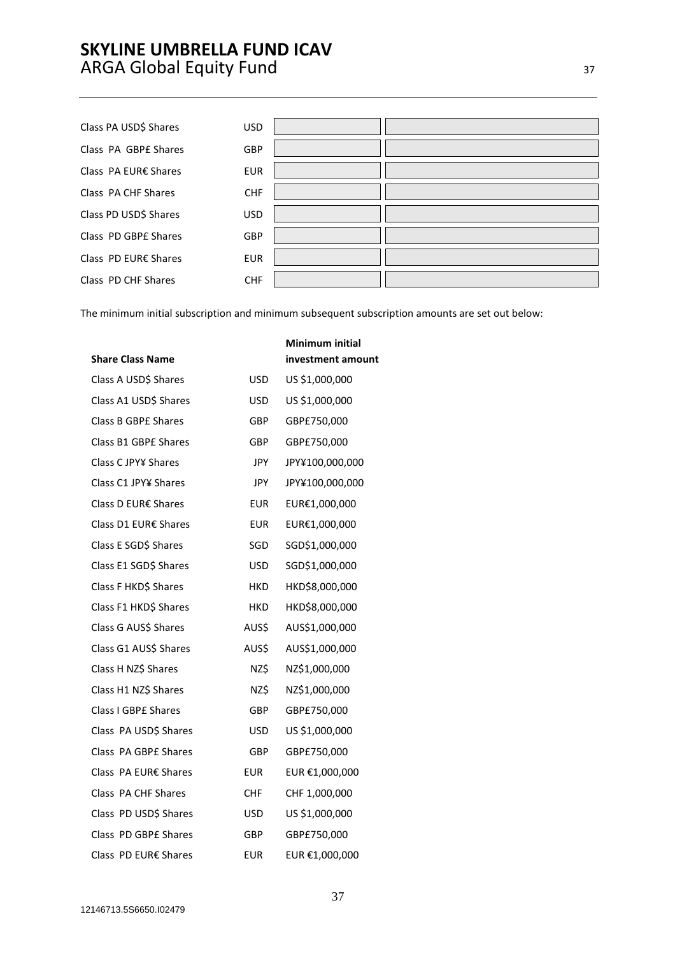Class PA USD\$ Shares USD Class PA GBPE Shares GBP Class PA EUR€ Shares EUR Class PA CHF Shares CHF Class PD USD\$ Shares USD Class PD GBP£ Shares GBP Class PD EUR€ Shares EUR Class PD CHF Shares CHF

The minimum initial subscription and minimum subsequent subscription amounts are set out below:

| <b>Share Class Name</b> |            | investment amour |
|-------------------------|------------|------------------|
| Class A USD\$ Shares    | <b>USD</b> | US \$1,000,000   |
| Class A1 USD\$ Shares   | USD        | US \$1,000,000   |
| Class B GBPE Shares     | GBP        | GBP£750,000      |
| Class B1 GBPE Shares    | <b>GBP</b> | GBP£750,000      |
| Class C JPY¥ Shares     | <b>JPY</b> | JPY¥100,000,000  |
| Class C1 JPY¥ Shares    | JPY.       | JPY¥100,000,000  |
| Class D EUR€ Shares     | <b>EUR</b> | EUR€1,000,000    |
| Class D1 EUR€ Shares    | <b>EUR</b> | EUR€1,000,000    |
| Class E SGD\$ Shares    | SGD        | SGD\$1,000,000   |
| Class E1 SGD\$ Shares   | <b>USD</b> | SGD\$1,000,000   |
| Class F HKD\$ Shares    | <b>HKD</b> | HKD\$8,000,000   |
| Class F1 HKD\$ Shares   | HKD        | HKD\$8,000,000   |
| Class G AUS\$ Shares    | AUS\$      | AUS\$1,000,000   |
| Class G1 AUS\$ Shares   | AUS\$      | AUS\$1,000,000   |
| Class H NZ\$ Shares     | NZ\$       | NZ\$1,000,000    |
| Class H1 NZ\$ Shares    | NZ\$       | NZ\$1,000,000    |
| Class I GBPE Shares     | <b>GBP</b> | GBP£750,000      |
| Class PA USD\$ Shares   | USD        | US \$1,000,000   |
| Class PA GBPE Shares    | GBP        | GBP£750,000      |
| Class PA EUR€ Shares    | <b>EUR</b> | EUR €1,000,000   |
| Class PA CHF Shares     | CHF        | CHF 1,000,000    |
| Class PD USD\$ Shares   | <b>USD</b> | US \$1,000,000   |
| Class PD GBPE Shares    | <b>GBP</b> | GBP£750,000      |
| Class PD EUR€ Shares    | <b>EUR</b> | EUR €1,000,000   |

# **Minimum initial int**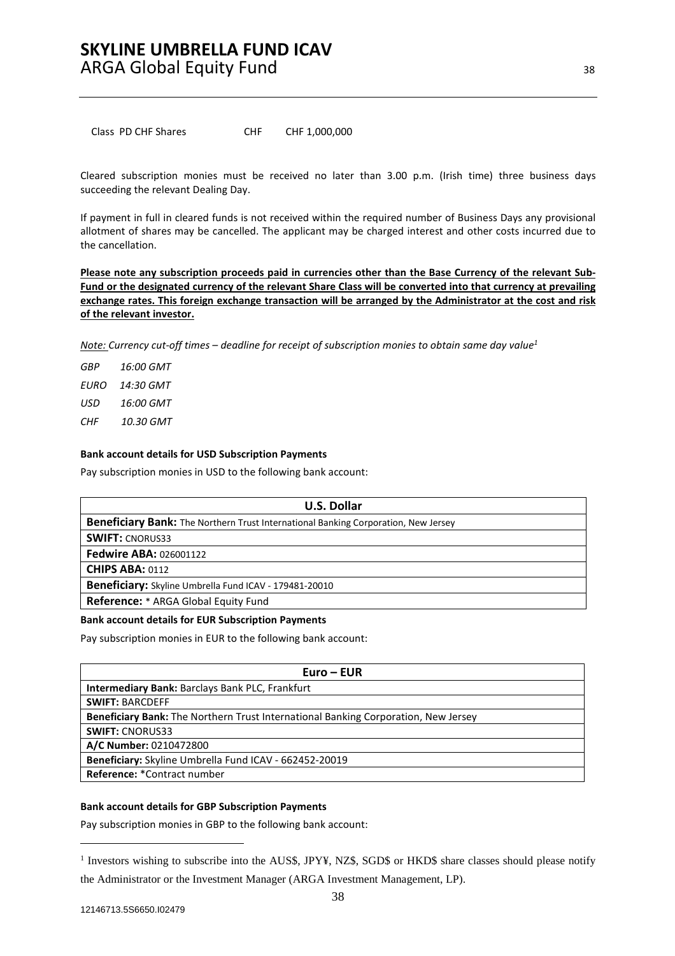Class PD CHF Shares CHF CHF 1,000,000

Cleared subscription monies must be received no later than 3.00 p.m. (Irish time) three business days succeeding the relevant Dealing Day.

If payment in full in cleared funds is not received within the required number of Business Days any provisional allotment of shares may be cancelled. The applicant may be charged interest and other costs incurred due to the cancellation.

**Please note any subscription proceeds paid in currencies other than the Base Currency of the relevant Sub-Fund or the designated currency of the relevant Share Class will be converted into that currency at prevailing exchange rates. This foreign exchange transaction will be arranged by the Administrator at the cost and risk of the relevant investor.** 

*Note: Currency cut-off times – deadline for receipt of subscription monies to obtain same day value1*

*GBP 16:00 GMT EURO 14:30 GMT USD 16:00 GMT CHF 10.30 GMT* 

#### **Bank account details for USD Subscription Payments**

Pay subscription monies in USD to the following bank account:

| <b>U.S. Dollar</b>                                                                        |
|-------------------------------------------------------------------------------------------|
| <b>Beneficiary Bank:</b> The Northern Trust International Banking Corporation, New Jersey |
| <b>SWIFT: CNORUS33</b>                                                                    |
| <b>Fedwire ABA: 026001122</b>                                                             |
| <b>CHIPS ABA: 0112</b>                                                                    |
| <b>Beneficiary:</b> Skyline Umbrella Fund ICAV - 179481-20010                             |
| <b>Reference:</b> * ARGA Global Equity Fund                                               |

#### **Bank account details for EUR Subscription Payments**

Pay subscription monies in EUR to the following bank account:

| $Euro - EUR$                                                                              |
|-------------------------------------------------------------------------------------------|
| <b>Intermediary Bank: Barclays Bank PLC, Frankfurt</b>                                    |
| <b>SWIFT: BARCDEFF</b>                                                                    |
| <b>Beneficiary Bank:</b> The Northern Trust International Banking Corporation, New Jersey |
| <b>SWIFT: CNORUS33</b>                                                                    |
| A/C Number: 0210472800                                                                    |
| Beneficiary: Skyline Umbrella Fund ICAV - 662452-20019                                    |
| Reference: *Contract number                                                               |

#### **Bank account details for GBP Subscription Payments**

Pay subscription monies in GBP to the following bank account:

 $\overline{a}$ 

<sup>&</sup>lt;sup>1</sup> Investors wishing to subscribe into the AUS\$, JPY¥, NZ\$, SGD\$ or HKD\$ share classes should please notify the Administrator or the Investment Manager (ARGA Investment Management, LP).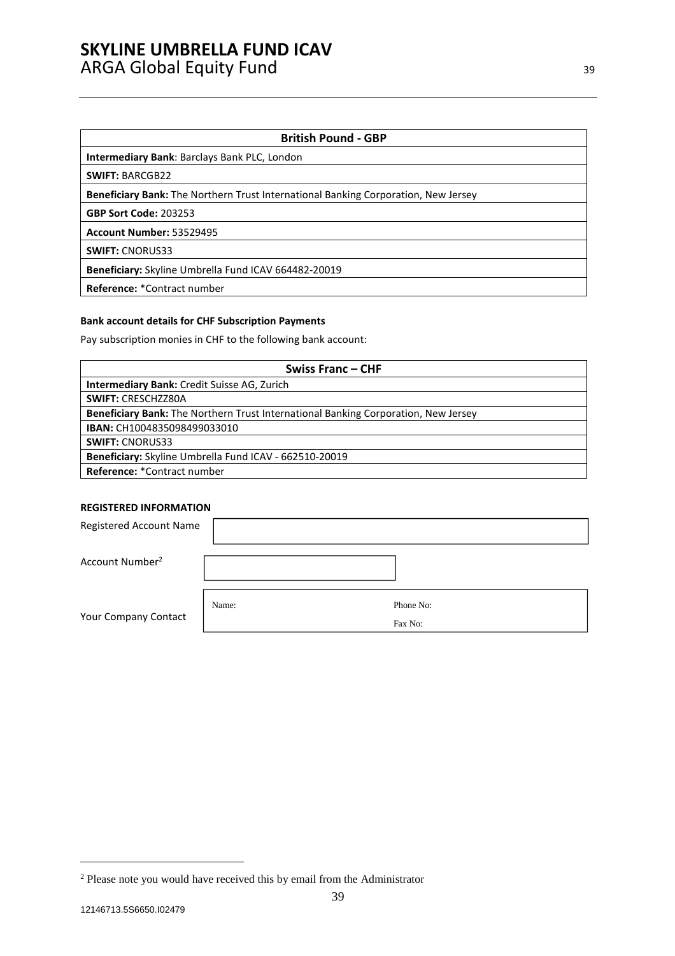### **British Pound - GBP**

**Intermediary Bank**: Barclays Bank PLC, London

**SWIFT:** BARCGB22

**Beneficiary Bank:** The Northern Trust International Banking Corporation, New Jersey

**GBP Sort Code:** 203253

**Account Number:** 53529495

**SWIFT:** CNORUS33

**Beneficiary:** Skyline Umbrella Fund ICAV 664482-20019

**Reference:** \*Contract number

### **Bank account details for CHF Subscription Payments**

Pay subscription monies in CHF to the following bank account:

| Swiss Franc – CHF                                                                         |
|-------------------------------------------------------------------------------------------|
| Intermediary Bank: Credit Suisse AG, Zurich                                               |
| <b>SWIFT: CRESCHZZ80A</b>                                                                 |
| <b>Beneficiary Bank:</b> The Northern Trust International Banking Corporation, New Jersey |
| <b>IBAN: CH1004835098499033010</b>                                                        |
| <b>SWIFT: CNORUS33</b>                                                                    |
| Beneficiary: Skyline Umbrella Fund ICAV - 662510-20019                                    |
| <b>Reference: *Contract number</b>                                                        |

### **REGISTERED INFORMATION**

| Registered Account Name     |       |                      |
|-----------------------------|-------|----------------------|
| Account Number <sup>2</sup> |       |                      |
| Your Company Contact        | Name: | Phone No:<br>Fax No: |

 $\overline{a}$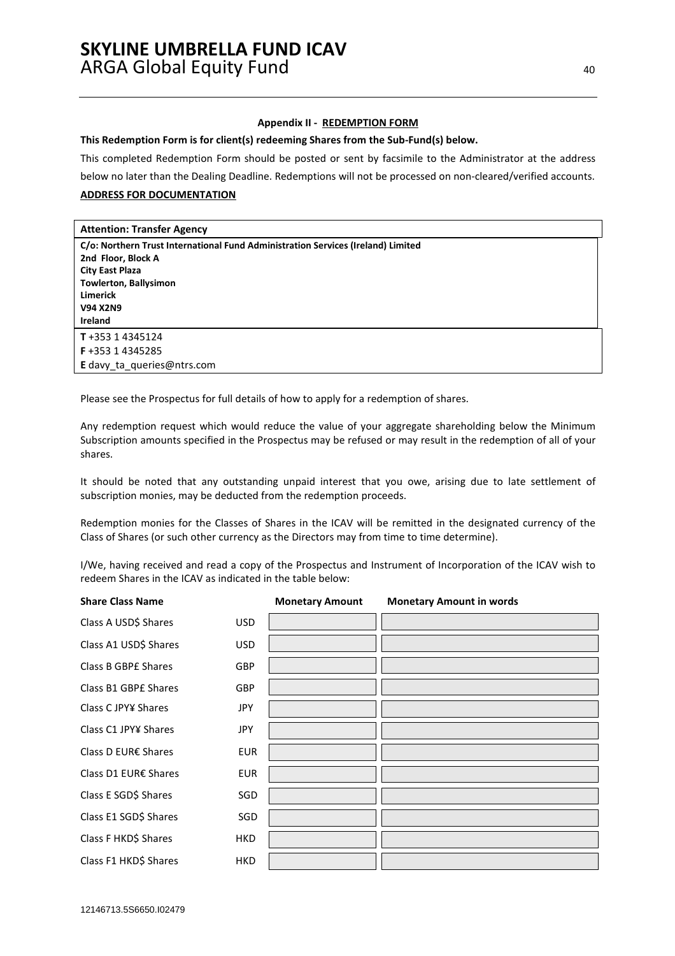### **Appendix II - REDEMPTION FORM**

**This Redemption Form is for client(s) redeeming Shares from the Sub-Fund(s) below.** 

This completed Redemption Form should be posted or sent by facsimile to the Administrator at the address

below no later than the Dealing Deadline. Redemptions will not be processed on non-cleared/verified accounts.

# **ADDRESS FOR DOCUMENTATION**

# **Attention: Transfer Agency**

| C/o: Northern Trust International Fund Administration Services (Ireland) Limited |
|----------------------------------------------------------------------------------|
| 2nd Floor, Block A                                                               |
| <b>City East Plaza</b>                                                           |
| <b>Towlerton, Ballysimon</b>                                                     |
| <b>Limerick</b>                                                                  |
| <b>V94 X2N9</b>                                                                  |
| Ireland                                                                          |
| $T + 35314345124$                                                                |
| <b>F</b> +353 1 4345285                                                          |
| E davy ta queries@ntrs.com                                                       |

Please see the Prospectus for full details of how to apply for a redemption of shares.

Any redemption request which would reduce the value of your aggregate shareholding below the Minimum Subscription amounts specified in the Prospectus may be refused or may result in the redemption of all of your shares.

It should be noted that any outstanding unpaid interest that you owe, arising due to late settlement of subscription monies, may be deducted from the redemption proceeds.

Redemption monies for the Classes of Shares in the ICAV will be remitted in the designated currency of the Class of Shares (or such other currency as the Directors may from time to time determine).

I/We, having received and read a copy of the Prospectus and Instrument of Incorporation of the ICAV wish to redeem Shares in the ICAV as indicated in the table below:

| <b>Share Class Name</b> |            | <b>Monetary Amount</b> | <b>Monetary Amount in words</b> |
|-------------------------|------------|------------------------|---------------------------------|
| Class A USD\$ Shares    | <b>USD</b> |                        |                                 |
| Class A1 USD\$ Shares   | <b>USD</b> |                        |                                 |
| Class B GBPE Shares     | <b>GBP</b> |                        |                                 |
| Class B1 GBPE Shares    | <b>GBP</b> |                        |                                 |
| Class C JPY¥ Shares     | JPY        |                        |                                 |
| Class C1 JPY¥ Shares    | JPY        |                        |                                 |
| Class D EUR€ Shares     | <b>EUR</b> |                        |                                 |
| Class D1 EUR€ Shares    | <b>EUR</b> |                        |                                 |
| Class E SGD\$ Shares    | SGD        |                        |                                 |
| Class E1 SGD\$ Shares   | SGD        |                        |                                 |
| Class F HKD\$ Shares    | <b>HKD</b> |                        |                                 |
| Class F1 HKD\$ Shares   | <b>HKD</b> |                        |                                 |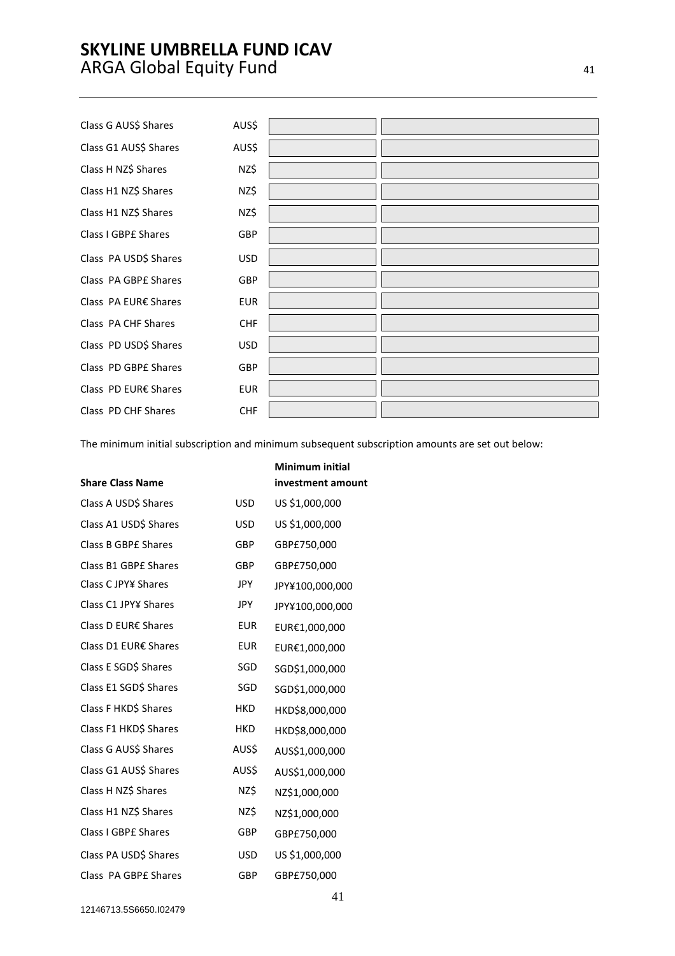Class G AUS\$ Shares AUS\$ Class G1 AUS\$ Shares AUS\$ Class H NZ\$ Shares NZ\$ Class H1 NZ\$ Shares NZ\$ Class H1 NZ\$ Shares NZ\$ Class I GBP£ Shares GBP Class PA USD\$ Shares USD Class PA GBP£ Shares GBP Class PA EUR€ Shares EUR Class PA CHF Shares CHF Class PD USD\$ Shares USD Class PD GBP£ Shares GBP Class PD EUR€ Shares EUR Class PD CHF Shares CHF

The minimum initial subscription and minimum subsequent subscription amounts are set out below:

|                            |            | <b>Minimum initial</b> |
|----------------------------|------------|------------------------|
| <b>Share Class Name</b>    |            | investment amount      |
| Class A USD\$ Shares       | <b>USD</b> | US \$1,000,000         |
| Class A1 USD\$ Shares      | <b>USD</b> | US \$1,000,000         |
| <b>Class B GBPE Shares</b> | GBP        | GBP£750,000            |
| Class B1 GBPE Shares       | GBP        | GBP£750,000            |
| Class C JPY¥ Shares        | JPY        | JPY¥100,000,000        |
| Class C1 JPY¥ Shares       | JPY        | JPY¥100,000,000        |
| Class D EUR€ Shares        | <b>EUR</b> | EUR€1,000,000          |
| Class D1 EUR€ Shares       | <b>EUR</b> | EUR€1,000,000          |
| Class E SGD\$ Shares       | SGD        | SGD\$1,000,000         |
| Class E1 SGD\$ Shares      | SGD        | SGD\$1,000,000         |
| Class F HKD\$ Shares       | <b>HKD</b> | HKD\$8,000,000         |
| Class F1 HKD\$ Shares      | <b>HKD</b> | HKD\$8,000,000         |
| Class G AUS\$ Shares       | AUS\$      | AUS\$1,000,000         |
| Class G1 AUS\$ Shares      | AUS\$      | AUS\$1,000,000         |
| Class H NZ\$ Shares        | NZ\$       | NZ\$1,000,000          |
| Class H1 NZ\$ Shares       | NZ\$       | NZ\$1,000,000          |
| Class I GBPE Shares        | GBP        | GBP£750,000            |
| Class PA USD\$ Shares      | <b>USD</b> | US \$1,000,000         |
| Class PA GBPE Shares       | GBP        | GBP£750,000            |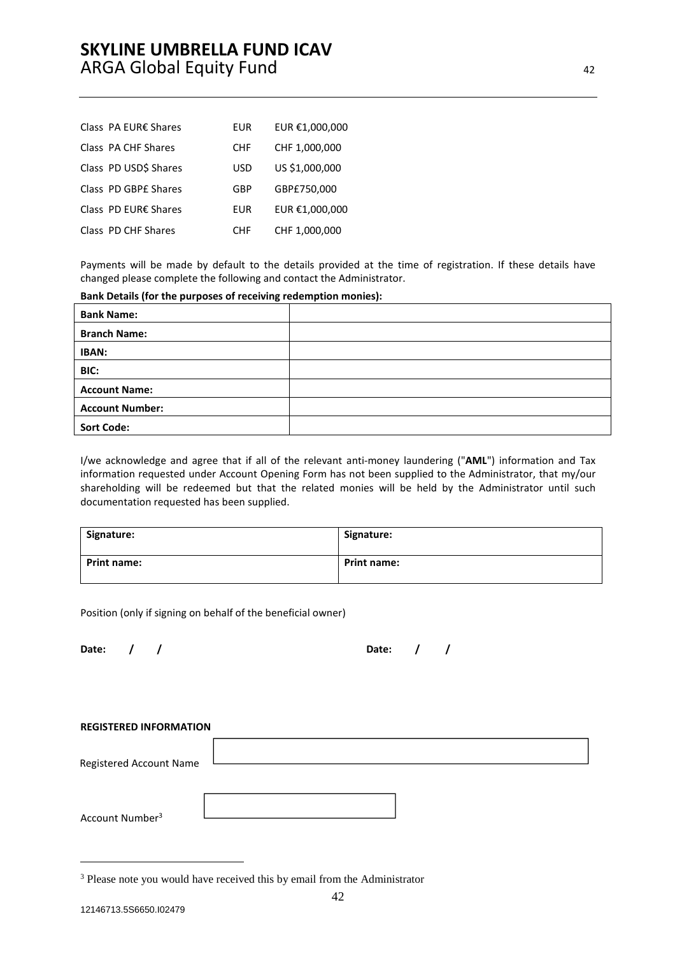| Class PA EUR€ Shares  | EUR             | EUR €1,000,000 |
|-----------------------|-----------------|----------------|
| Class PA CHF Shares   | <b>CHF</b>      | CHF 1,000,000  |
| Class PD USD\$ Shares | USD             | US \$1,000,000 |
| Class PD GBPE Shares  | GBP             | GBP£750,000    |
| Class PD EUR€ Shares  | EUR             | EUR €1,000,000 |
| Class PD CHF Shares   | CH <sub>F</sub> | CHF 1,000,000  |

Payments will be made by default to the details provided at the time of registration. If these details have changed please complete the following and contact the Administrator.

| Bank Details (for the purposes of receiving redemption monies): |  |
|-----------------------------------------------------------------|--|
|-----------------------------------------------------------------|--|

| <b>Bank Name:</b>      |  |
|------------------------|--|
| <b>Branch Name:</b>    |  |
| <b>IBAN:</b>           |  |
| BIC:                   |  |
| <b>Account Name:</b>   |  |
| <b>Account Number:</b> |  |
| <b>Sort Code:</b>      |  |

I/we acknowledge and agree that if all of the relevant anti-money laundering ("**AML**") information and Tax information requested under Account Opening Form has not been supplied to the Administrator, that my/our shareholding will be redeemed but that the related monies will be held by the Administrator until such documentation requested has been supplied.

| Signature:  | Signature:         |
|-------------|--------------------|
| Print name: | <b>Print name:</b> |

Position (only if signing on behalf of the beneficial owner)

| Date: / |  | Date: | $\sqrt{1}$ |  |
|---------|--|-------|------------|--|
|         |  |       |            |  |

| <b>REGISTERED INFORMATION</b> |  |
|-------------------------------|--|
| Registered Account Name       |  |
| Account Number <sup>3</sup>   |  |

 $\overline{a}$ 

<sup>&</sup>lt;sup>3</sup> Please note you would have received this by email from the Administrator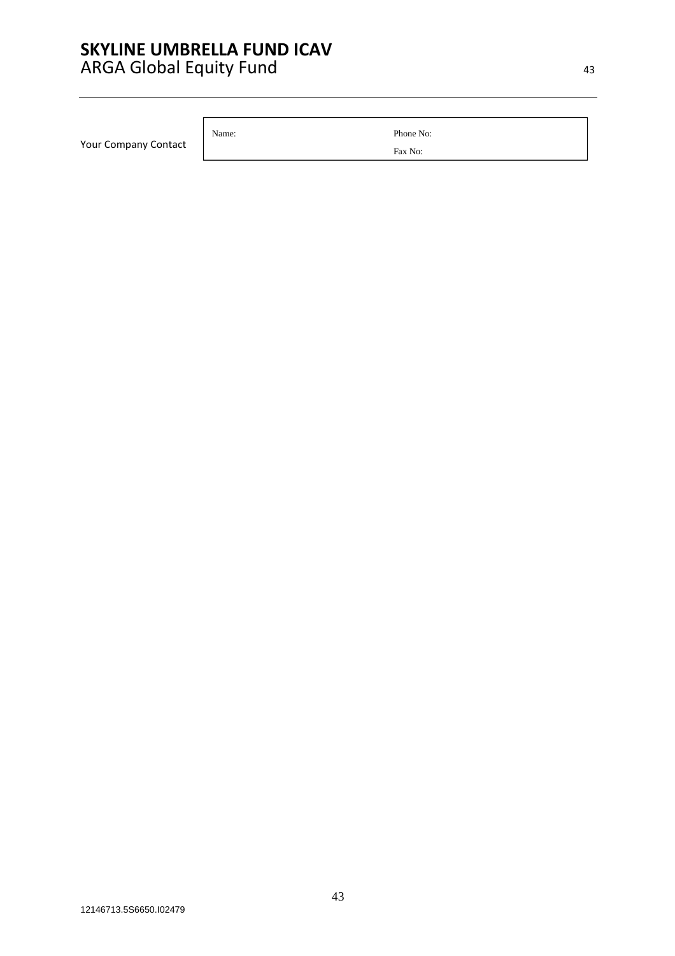|  | <b>Your Company Contact</b> |  |
|--|-----------------------------|--|
|--|-----------------------------|--|

Name: Phone No:

Fax No: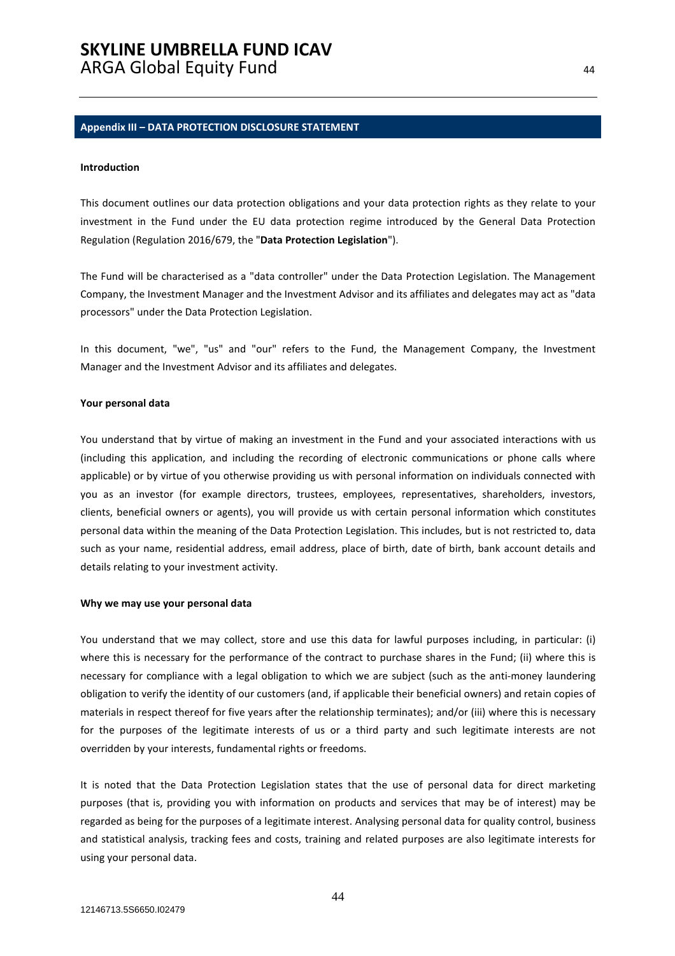#### **Appendix III – DATA PROTECTION DISCLOSURE STATEMENT**

#### **Introduction**

This document outlines our data protection obligations and your data protection rights as they relate to your investment in the Fund under the EU data protection regime introduced by the General Data Protection Regulation (Regulation 2016/679, the "**Data Protection Legislation**").

The Fund will be characterised as a "data controller" under the Data Protection Legislation. The Management Company, the Investment Manager and the Investment Advisor and its affiliates and delegates may act as "data processors" under the Data Protection Legislation.

In this document, "we", "us" and "our" refers to the Fund, the Management Company, the Investment Manager and the Investment Advisor and its affiliates and delegates.

#### **Your personal data**

You understand that by virtue of making an investment in the Fund and your associated interactions with us (including this application, and including the recording of electronic communications or phone calls where applicable) or by virtue of you otherwise providing us with personal information on individuals connected with you as an investor (for example directors, trustees, employees, representatives, shareholders, investors, clients, beneficial owners or agents), you will provide us with certain personal information which constitutes personal data within the meaning of the Data Protection Legislation. This includes, but is not restricted to, data such as your name, residential address, email address, place of birth, date of birth, bank account details and details relating to your investment activity.

#### **Why we may use your personal data**

You understand that we may collect, store and use this data for lawful purposes including, in particular: (i) where this is necessary for the performance of the contract to purchase shares in the Fund; (ii) where this is necessary for compliance with a legal obligation to which we are subject (such as the anti-money laundering obligation to verify the identity of our customers (and, if applicable their beneficial owners) and retain copies of materials in respect thereof for five years after the relationship terminates); and/or (iii) where this is necessary for the purposes of the legitimate interests of us or a third party and such legitimate interests are not overridden by your interests, fundamental rights or freedoms.

It is noted that the Data Protection Legislation states that the use of personal data for direct marketing purposes (that is, providing you with information on products and services that may be of interest) may be regarded as being for the purposes of a legitimate interest. Analysing personal data for quality control, business and statistical analysis, tracking fees and costs, training and related purposes are also legitimate interests for using your personal data.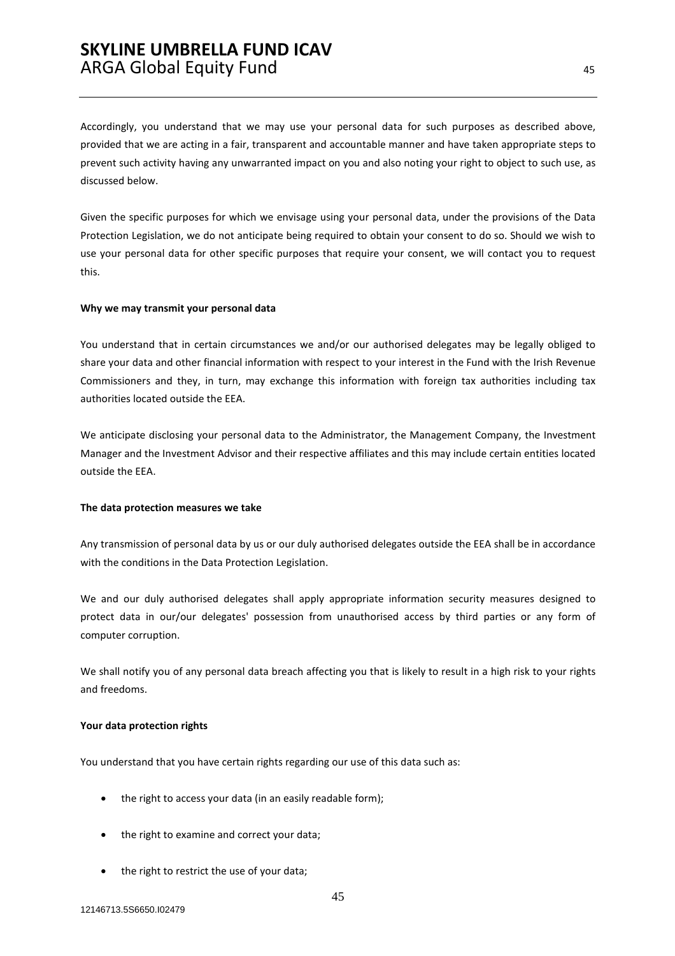Accordingly, you understand that we may use your personal data for such purposes as described above, provided that we are acting in a fair, transparent and accountable manner and have taken appropriate steps to prevent such activity having any unwarranted impact on you and also noting your right to object to such use, as discussed below.

Given the specific purposes for which we envisage using your personal data, under the provisions of the Data Protection Legislation, we do not anticipate being required to obtain your consent to do so. Should we wish to use your personal data for other specific purposes that require your consent, we will contact you to request this.

#### **Why we may transmit your personal data**

You understand that in certain circumstances we and/or our authorised delegates may be legally obliged to share your data and other financial information with respect to your interest in the Fund with the Irish Revenue Commissioners and they, in turn, may exchange this information with foreign tax authorities including tax authorities located outside the EEA.

We anticipate disclosing your personal data to the Administrator, the Management Company, the Investment Manager and the Investment Advisor and their respective affiliates and this may include certain entities located outside the EEA.

#### **The data protection measures we take**

Any transmission of personal data by us or our duly authorised delegates outside the EEA shall be in accordance with the conditions in the Data Protection Legislation.

We and our duly authorised delegates shall apply appropriate information security measures designed to protect data in our/our delegates' possession from unauthorised access by third parties or any form of computer corruption.

We shall notify you of any personal data breach affecting you that is likely to result in a high risk to your rights and freedoms.

#### **Your data protection rights**

You understand that you have certain rights regarding our use of this data such as:

- the right to access your data (in an easily readable form);
- the right to examine and correct your data;
- the right to restrict the use of your data;